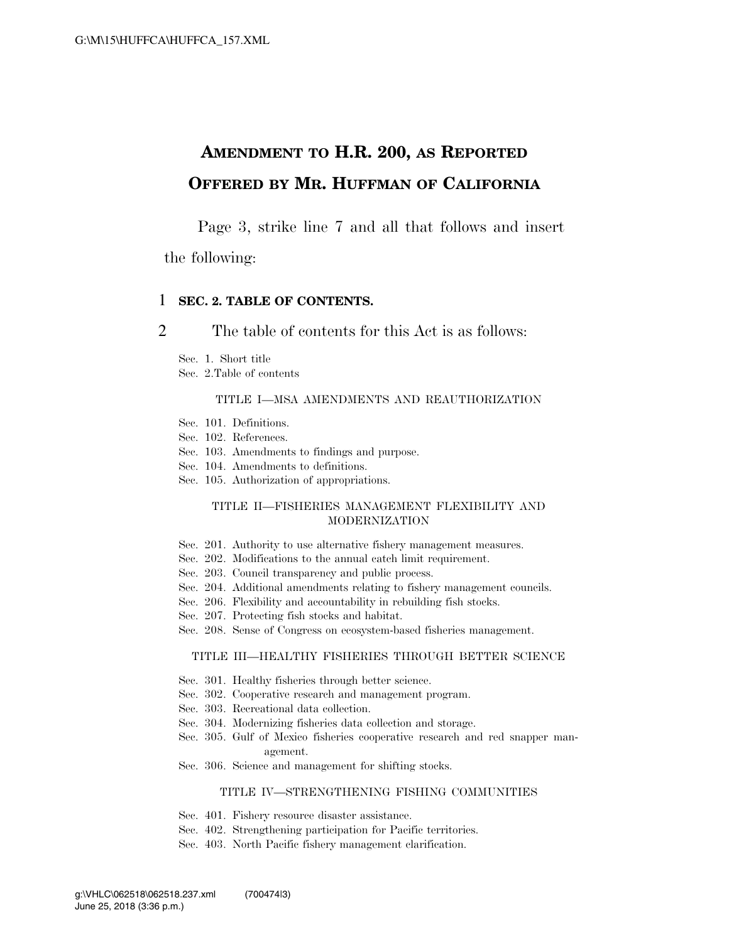## **AMENDMENT TO H.R. 200, AS REPORTED OFFERED BY MR. HUFFMAN OF CALIFORNIA**

Page 3, strike line 7 and all that follows and insert

the following:

### 1 **SEC. 2. TABLE OF CONTENTS.**

2 The table of contents for this Act is as follows:

Sec. 1. Short title

Sec. 2.Table of contents

#### TITLE I—MSA AMENDMENTS AND REAUTHORIZATION

- Sec. 101. Definitions.
- Sec. 102. References.
- Sec. 103. Amendments to findings and purpose.
- Sec. 104. Amendments to definitions.
- Sec. 105. Authorization of appropriations.

### TITLE II—FISHERIES MANAGEMENT FLEXIBILITY AND MODERNIZATION

- Sec. 201. Authority to use alternative fishery management measures.
- Sec. 202. Modifications to the annual catch limit requirement.
- Sec. 203. Council transparency and public process.
- Sec. 204. Additional amendments relating to fishery management councils.
- Sec. 206. Flexibility and accountability in rebuilding fish stocks.
- Sec. 207. Protecting fish stocks and habitat.
- Sec. 208. Sense of Congress on ecosystem-based fisheries management.

#### TITLE III—HEALTHY FISHERIES THROUGH BETTER SCIENCE

- Sec. 301. Healthy fisheries through better science.
- Sec. 302. Cooperative research and management program.
- Sec. 303. Recreational data collection.
- Sec. 304. Modernizing fisheries data collection and storage.
- Sec. 305. Gulf of Mexico fisheries cooperative research and red snapper management.
- Sec. 306. Science and management for shifting stocks.

### TITLE IV—STRENGTHENING FISHING COMMUNITIES

- Sec. 401. Fishery resource disaster assistance.
- Sec. 402. Strengthening participation for Pacific territories.
- Sec. 403. North Pacific fishery management clarification.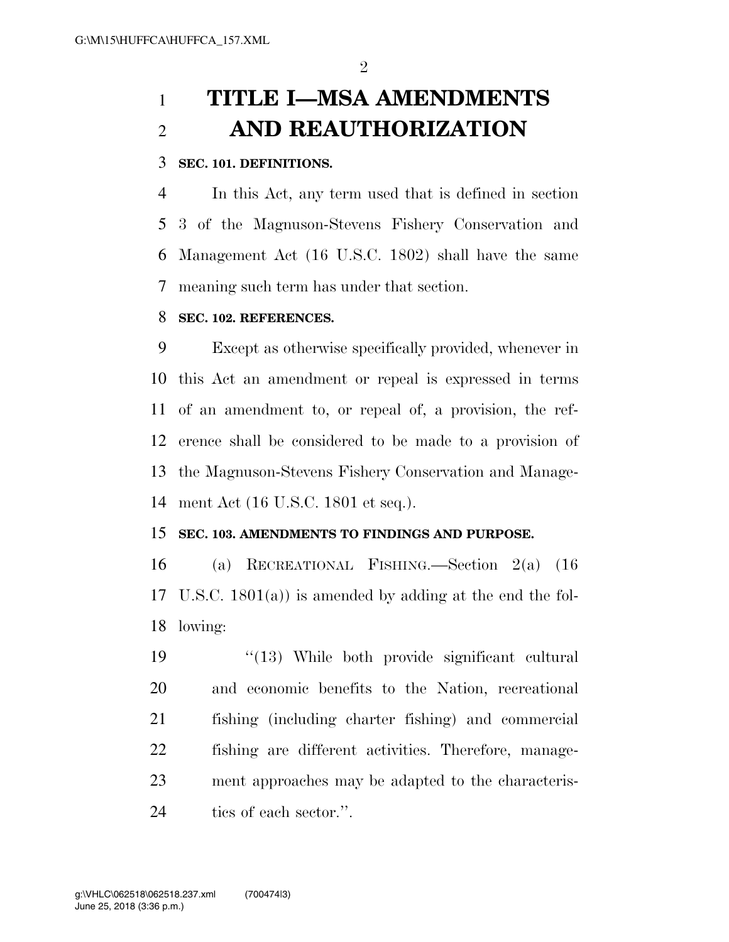# **TITLE I—MSA AMENDMENTS AND REAUTHORIZATION**

## **SEC. 101. DEFINITIONS.**

 In this Act, any term used that is defined in section 3 of the Magnuson-Stevens Fishery Conservation and Management Act (16 U.S.C. 1802) shall have the same meaning such term has under that section.

## **SEC. 102. REFERENCES.**

 Except as otherwise specifically provided, whenever in this Act an amendment or repeal is expressed in terms of an amendment to, or repeal of, a provision, the ref- erence shall be considered to be made to a provision of the Magnuson-Stevens Fishery Conservation and Manage-ment Act (16 U.S.C. 1801 et seq.).

### **SEC. 103. AMENDMENTS TO FINDINGS AND PURPOSE.**

 (a) RECREATIONAL FISHING.—Section 2(a) (16 U.S.C. 1801(a)) is amended by adding at the end the fol-lowing:

 ''(13) While both provide significant cultural and economic benefits to the Nation, recreational fishing (including charter fishing) and commercial fishing are different activities. Therefore, manage- ment approaches may be adapted to the characteris-24 tics of each sector.".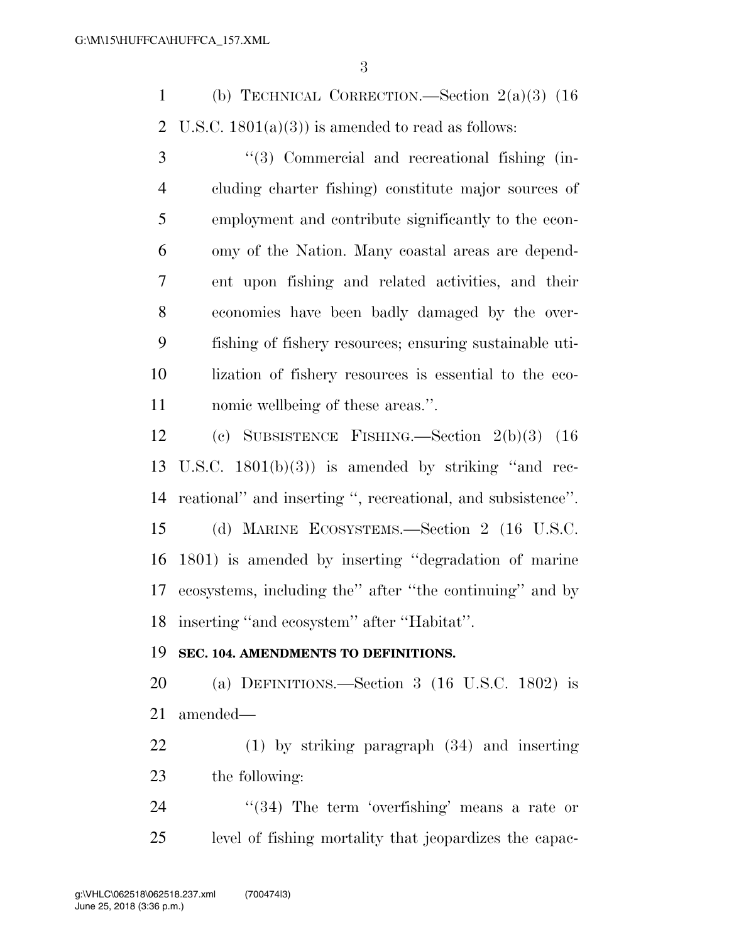(b) TECHNICAL CORRECTION.—Section 2(a)(3) (16 2 U.S.C.  $1801(a)(3)$  is amended to read as follows:

 ''(3) Commercial and recreational fishing (in- cluding charter fishing) constitute major sources of employment and contribute significantly to the econ- omy of the Nation. Many coastal areas are depend- ent upon fishing and related activities, and their economies have been badly damaged by the over- fishing of fishery resources; ensuring sustainable uti- lization of fishery resources is essential to the eco-nomic wellbeing of these areas.''.

 (c) SUBSISTENCE FISHING.—Section 2(b)(3) (16 U.S.C. 1801(b)(3)) is amended by striking ''and rec- reational'' and inserting '', recreational, and subsistence''. (d) MARINE ECOSYSTEMS.—Section 2 (16 U.S.C.

 1801) is amended by inserting ''degradation of marine ecosystems, including the'' after ''the continuing'' and by inserting ''and ecosystem'' after ''Habitat''.

### **SEC. 104. AMENDMENTS TO DEFINITIONS.**

 (a) DEFINITIONS.—Section 3 (16 U.S.C. 1802) is amended—

 (1) by striking paragraph (34) and inserting the following:

24 ''(34) The term 'overfishing' means a rate or level of fishing mortality that jeopardizes the capac-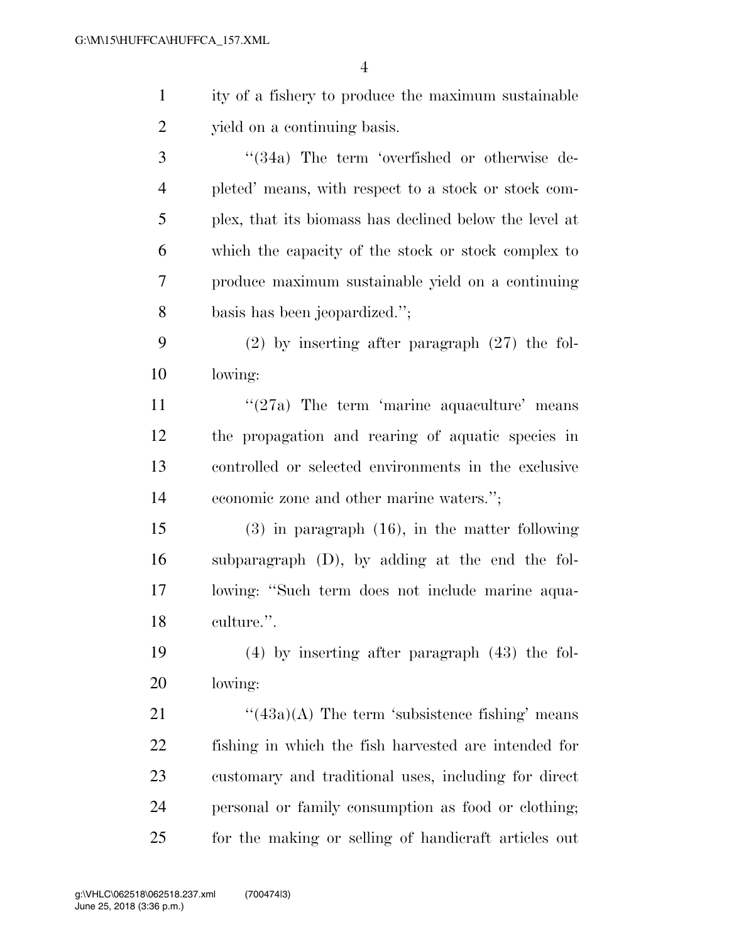| $\mathbf{1}$   | ity of a fishery to produce the maximum sustainable    |
|----------------|--------------------------------------------------------|
| $\overline{2}$ | yield on a continuing basis.                           |
| 3              | "(34a) The term 'overfished or otherwise de-           |
| $\overline{4}$ | pleted' means, with respect to a stock or stock com-   |
| 5              | plex, that its biomass has declined below the level at |
| 6              | which the capacity of the stock or stock complex to    |
| 7              | produce maximum sustainable yield on a continuing      |
| 8              | basis has been jeopardized.";                          |
| 9              | $(2)$ by inserting after paragraph $(27)$ the fol-     |
| 10             | lowing:                                                |
| 11             | $\lq(27a)$ The term 'marine aquaculture' means         |
| 12             | the propagation and rearing of aquatic species in      |
| 13             | controlled or selected environments in the exclusive   |
| 14             | economic zone and other marine waters.";               |
| 15             | $(3)$ in paragraph $(16)$ , in the matter following    |
| 16             | subparagraph (D), by adding at the end the fol-        |
| 17             | lowing: "Such term does not include marine aqua-       |
| 18             | culture.".                                             |
| 19             | $(4)$ by inserting after paragraph $(43)$ the fol-     |
| 20             | lowing:                                                |
| 21             | $\lq(43a)(A)$ The term 'subsistence fishing' means     |
| 22             | fishing in which the fish harvested are intended for   |
| 23             | customary and traditional uses, including for direct   |
| 24             | personal or family consumption as food or clothing;    |
| 25             | for the making or selling of handicraft articles out   |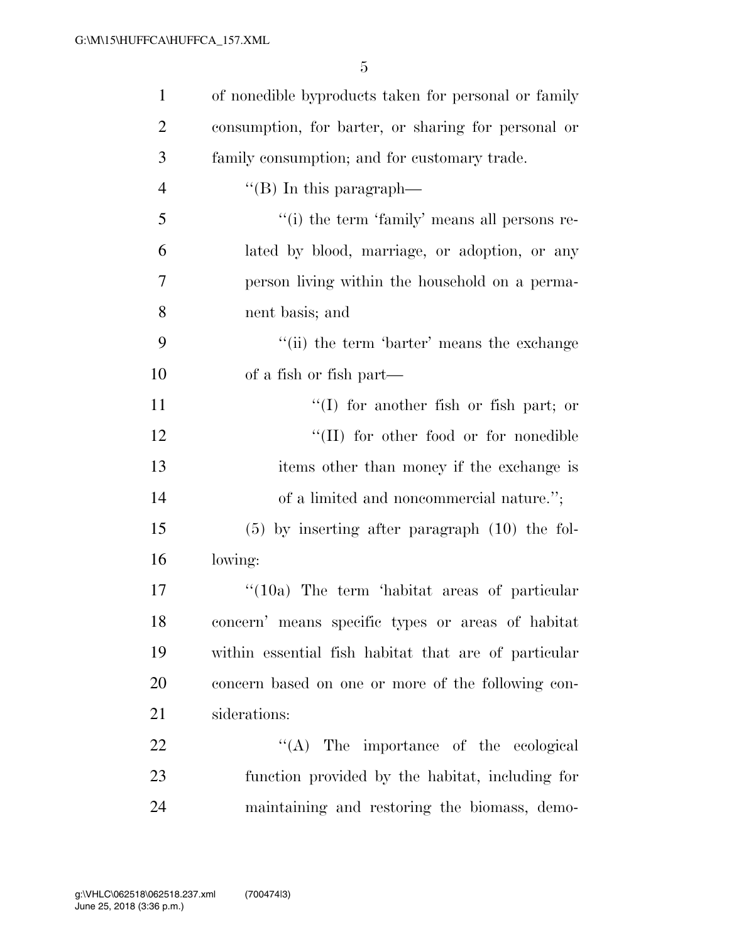| $\mathbf{1}$   | of nonedible byproducts taken for personal or family |
|----------------|------------------------------------------------------|
| $\overline{2}$ | consumption, for barter, or sharing for personal or  |
| 3              | family consumption; and for customary trade.         |
| $\overline{4}$ | $\lq\lq$ (B) In this paragraph—                      |
| 5              | "(i) the term 'family' means all persons re-         |
| 6              | lated by blood, marriage, or adoption, or any        |
| 7              | person living within the household on a perma-       |
| 8              | nent basis; and                                      |
| 9              | "(ii) the term 'barter' means the exchange           |
| 10             | of a fish or fish part—                              |
| 11             | $\lq(1)$ for another fish or fish part; or           |
| 12             | "(II) for other food or for nonedible                |
| 13             | items other than money if the exchange is            |
| 14             | of a limited and noncommercial nature.";             |
| 15             | $(5)$ by inserting after paragraph $(10)$ the fol-   |
| 16             | lowing:                                              |
| 17             | $\cdot$ (10a) The term 'habitat areas of particular  |
| 18             | concern' means specific types or areas of habitat    |
| 19             | within essential fish habitat that are of particular |
| 20             | concern based on one or more of the following con-   |
| 21             | siderations:                                         |
| 22             | $\lq\lq$ . The importance of the ecological          |
| 23             | function provided by the habitat, including for      |
| 24             | maintaining and restoring the biomass, demo-         |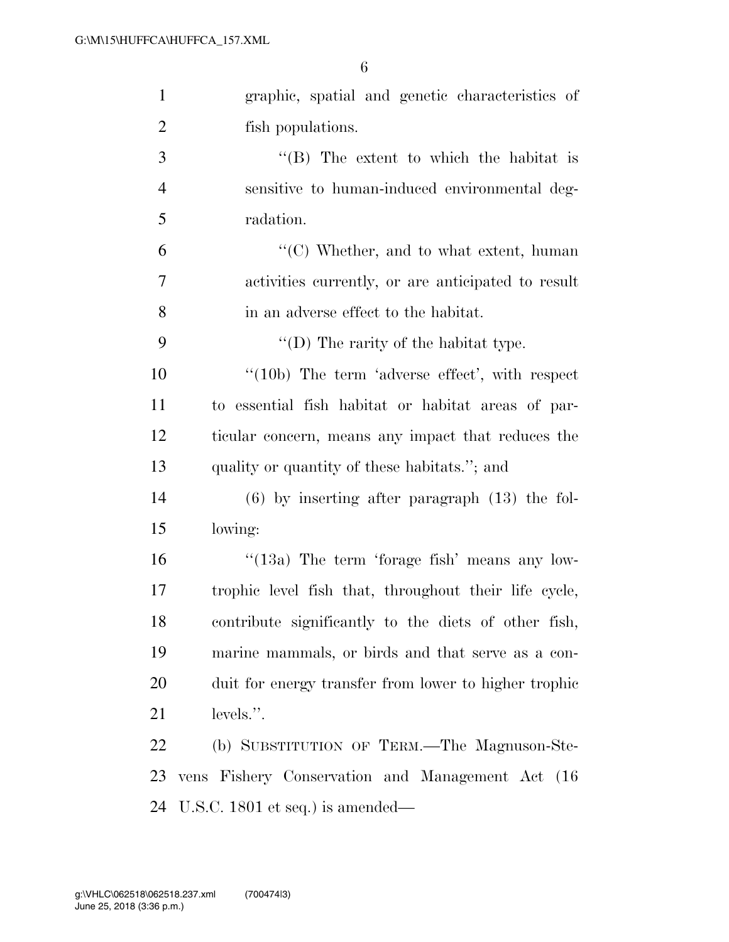| $\mathbf{1}$   | graphic, spatial and genetic characteristics of            |
|----------------|------------------------------------------------------------|
| $\overline{2}$ | fish populations.                                          |
| 3              | $\lq\lq$ . The extent to which the habitat is              |
| $\overline{4}$ | sensitive to human-induced environmental deg-              |
| 5              | radation.                                                  |
| 6              | $\lq\lq$ <sup>(C)</sup> Whether, and to what extent, human |
| 7              | activities currently, or are anticipated to result         |
| $8\,$          | in an adverse effect to the habitat.                       |
| 9              | "(D) The rarity of the habitat type.                       |
| 10             | $\lq(10b)$ The term 'adverse effect', with respect         |
| 11             | to essential fish habitat or habitat areas of par-         |
| 12             | ticular concern, means any impact that reduces the         |
| 13             | quality or quantity of these habitats."; and               |
| 14             | $(6)$ by inserting after paragraph $(13)$ the fol-         |
| 15             | lowing:                                                    |
| 16             | "(13a) The term 'forage fish' means any low-               |
| 17             | trophic level fish that, throughout their life cycle,      |
| 18             | contribute significantly to the diets of other fish,       |
| 19             | marine mammals, or birds and that serve as a con-          |
| 20             | duit for energy transfer from lower to higher trophic      |
| 21             | levels.".                                                  |
| 22             | (b) SUBSTITUTION OF TERM.—The Magnuson-Ste-                |
| 23             | vens Fishery Conservation and Management Act (16           |
| 24             | U.S.C. 1801 et seq.) is amended—                           |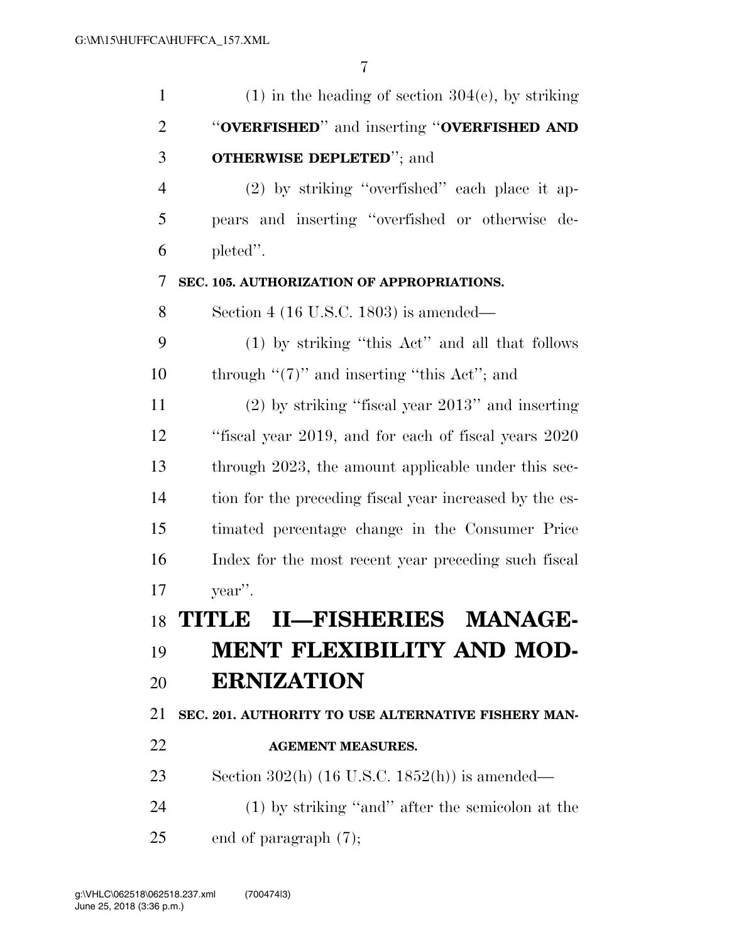| $\mathbf{1}$   | $(1)$ in the heading of section 304(e), by striking       |
|----------------|-----------------------------------------------------------|
| $\overline{2}$ | "OVERFISHED" and inserting "OVERFISHED AND                |
| 3              | <b>OTHERWISE DEPLETED"</b> ; and                          |
| $\overline{4}$ | $(2)$ by striking "overfished" each place it ap-          |
| 5              | pears and inserting "overfished or otherwise de-          |
| 6              | pleted".                                                  |
| 7              | SEC. 105. AUTHORIZATION OF APPROPRIATIONS.                |
| 8              | Section 4 (16 U.S.C. 1803) is amended—                    |
| 9              | (1) by striking "this Act" and all that follows           |
| 10             | through " $(7)$ " and inserting "this Act"; and           |
| 11             | $(2)$ by striking "fiscal year $2013"$ " and inserting    |
| 12             | "fiscal year 2019, and for each of fiscal years 2020      |
| 13             | through 2023, the amount applicable under this sec-       |
| 14             | tion for the preceding fiscal year increased by the es-   |
| 15             | timated percentage change in the Consumer Price           |
| 16             | Index for the most recent year preceding such fiscal      |
| 17             | year".                                                    |
| 18             | TITLE II-FISHERIES MANAGE-                                |
| 19             | <b>MENT FLEXIBILITY AND MOD-</b>                          |
| 20             | <b>ERNIZATION</b>                                         |
| 21             | SEC. 201. AUTHORITY TO USE ALTERNATIVE FISHERY MAN-       |
| 22             | <b>AGEMENT MEASURES.</b>                                  |
| 23             | Section 302(h) $(16 \text{ U.S.C. } 1852(h))$ is amended— |
| 24             | $(1)$ by striking "and" after the semicolon at the        |
| 25             | end of paragraph $(7)$ ;                                  |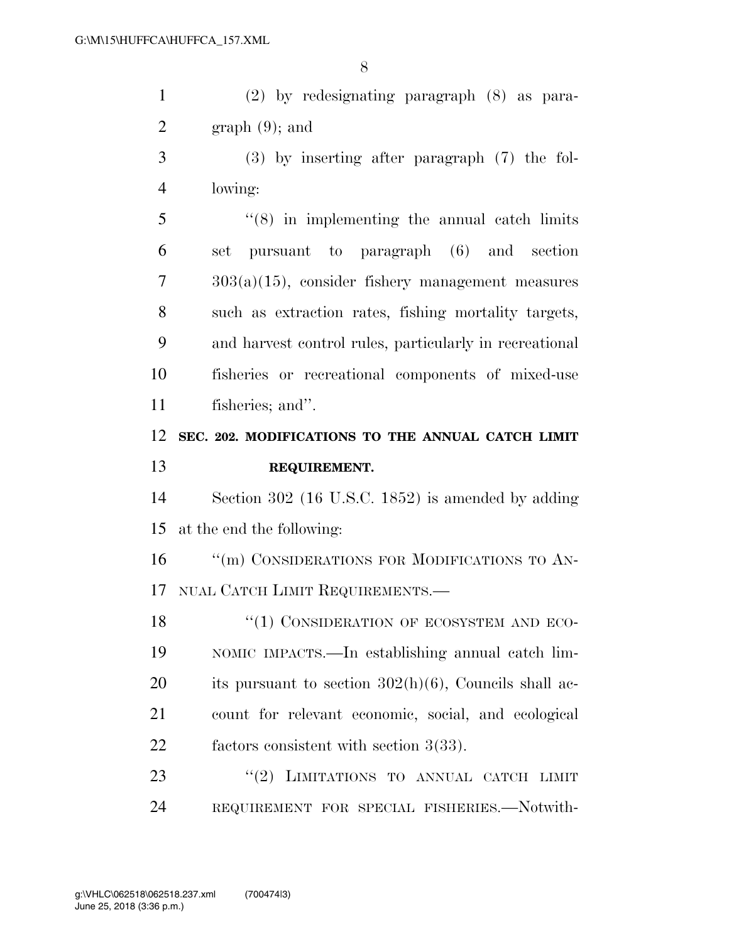| $\mathbf{1}$   | $(2)$ by redesignating paragraph $(8)$ as para-          |
|----------------|----------------------------------------------------------|
| $\overline{2}$ | $graph(9)$ ; and                                         |
| 3              | $(3)$ by inserting after paragraph $(7)$ the fol-        |
| 4              | lowing:                                                  |
| 5              | $(8)$ in implementing the annual catch limits            |
| 6              | set pursuant to paragraph (6) and section                |
| 7              | $303(a)(15)$ , consider fishery management measures      |
| 8              | such as extraction rates, fishing mortality targets,     |
| 9              | and harvest control rules, particularly in recreational  |
| 10             | fisheries or recreational components of mixed-use        |
| 11             | fisheries; and".                                         |
| 12             | SEC. 202. MODIFICATIONS TO THE ANNUAL CATCH LIMIT        |
|                |                                                          |
| 13             | REQUIREMENT.                                             |
| 14             | Section 302 (16 U.S.C. 1852) is amended by adding        |
| 15             | at the end the following:                                |
| 16             | "(m) CONSIDERATIONS FOR MODIFICATIONS TO AN-             |
| 17             | NUAL CATCH LIMIT REQUIREMENTS.                           |
| 18             | "(1) CONSIDERATION OF ECOSYSTEM AND ECO-                 |
| 19             | NOMIC IMPACTS.—In establishing annual catch lim-         |
| 20             | its pursuant to section $302(h)(6)$ , Councils shall ac- |
| 21             | count for relevant economic, social, and ecological      |
| 22             | factors consistent with section $3(33)$ .                |
| 23             | "(2) LIMITATIONS TO ANNUAL CATCH LIMIT                   |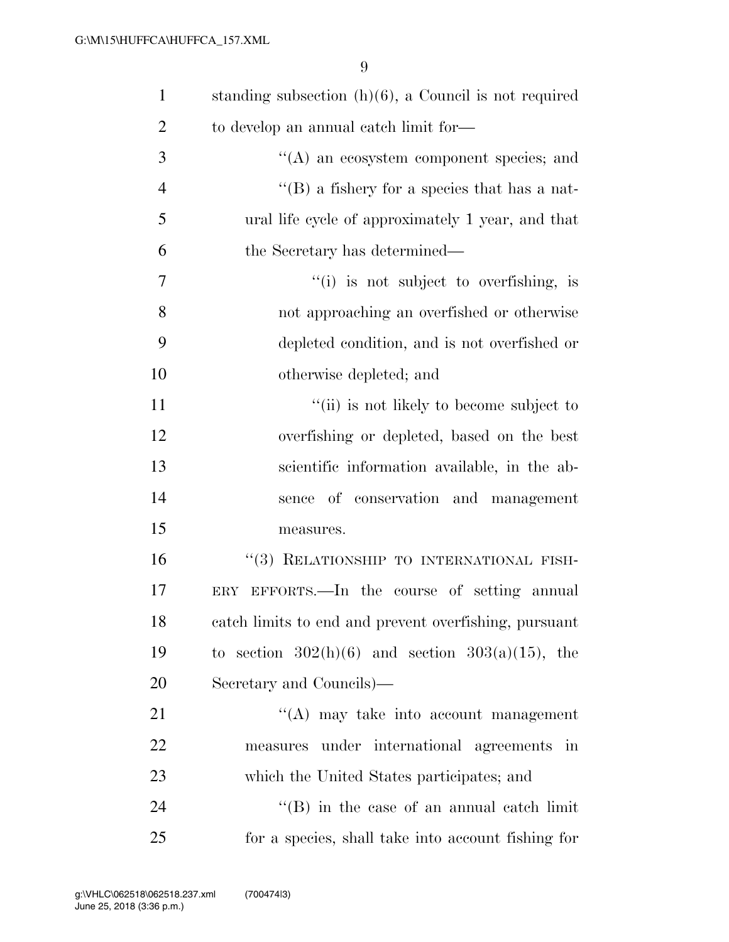| $\mathbf{1}$   | standing subsection $(h)(6)$ , a Council is not required |
|----------------|----------------------------------------------------------|
| $\overline{2}$ | to develop an annual catch limit for—                    |
| 3              | $\lq\lq$ an ecosystem component species; and             |
| $\overline{4}$ | $\lq\lq (B)$ a fishery for a species that has a nat-     |
| 5              | ural life cycle of approximately 1 year, and that        |
| 6              | the Secretary has determined—                            |
| 7              | "(i) is not subject to overfishing, is                   |
| 8              | not approaching an overfished or otherwise               |
| 9              | depleted condition, and is not overfished or             |
| 10             | otherwise depleted; and                                  |
| 11             | "(ii) is not likely to become subject to                 |
| 12             | overfishing or depleted, based on the best               |
| 13             | scientific information available, in the ab-             |
| 14             | sence of conservation and management                     |
| 15             | measures.                                                |
| 16             | "(3) RELATIONSHIP TO INTERNATIONAL FISH-                 |
| 17             | ERY EFFORTS.—In the course of setting annual             |
| 18             | catch limits to end and prevent overfishing, pursuant    |
| 19             | to section $302(h)(6)$ and section $303(a)(15)$ , the    |
| 20             | Secretary and Councils)—                                 |
| 21             | "(A) may take into account management                    |
| 22             | measures under international agreements in               |
| 23             | which the United States participates; and                |
| 24             | $\lq\lq$ (B) in the case of an annual catch limit        |
| 25             | for a species, shall take into account fishing for       |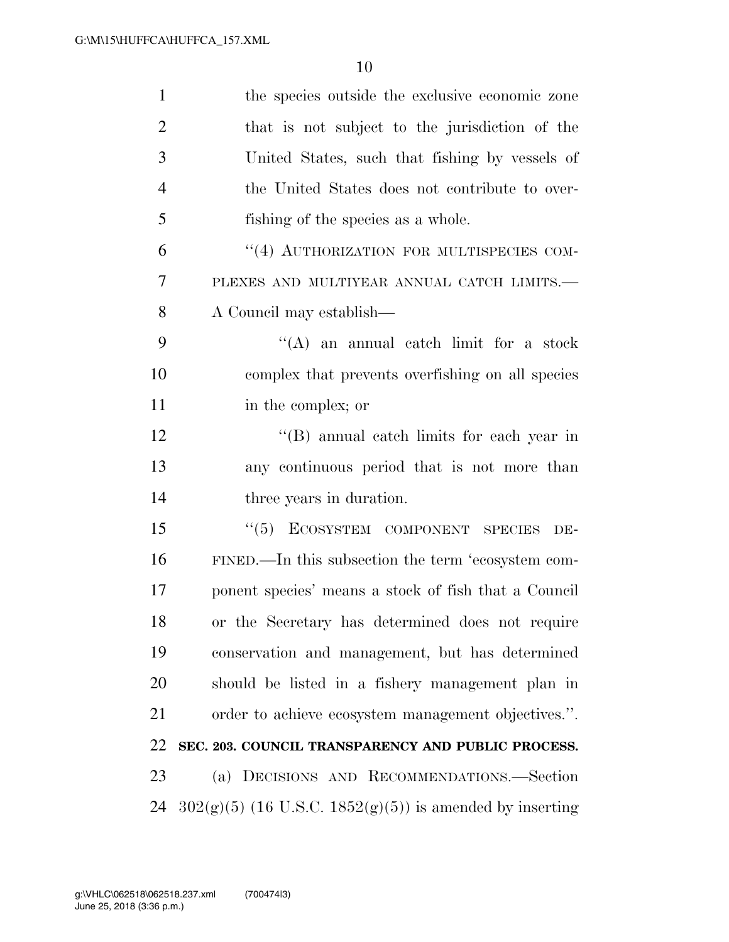| $\mathbf{1}$   | the species outside the exclusive economic zone            |
|----------------|------------------------------------------------------------|
| $\overline{2}$ | that is not subject to the jurisdiction of the             |
| 3              | United States, such that fishing by vessels of             |
| 4              | the United States does not contribute to over-             |
| 5              | fishing of the species as a whole.                         |
| 6              | "(4) AUTHORIZATION FOR MULTISPECIES COM-                   |
| 7              | PLEXES AND MULTIYEAR ANNUAL CATCH LIMITS.-                 |
| 8              | A Council may establish—                                   |
| 9              | $\lq\lq$ an annual catch limit for a stock                 |
| 10             | complex that prevents overfishing on all species           |
| 11             | in the complex; or                                         |
| 12             | $\lq\lq$ annual catch limits for each year in              |
| 13             | any continuous period that is not more than                |
| 14             | three years in duration.                                   |
| 15             | ECOSYSTEM COMPONENT SPECIES<br>(5)<br>DE-                  |
| 16             | FINED.—In this subsection the term 'ecosystem com-         |
| 17             | ponent species' means a stock of fish that a Council       |
| 18             | or the Secretary has determined does not require           |
| 19             | conservation and management, but has determined            |
| 20             | should be listed in a fishery management plan in           |
| 21             | order to achieve ecosystem management objectives.".        |
| 22             | SEC. 203. COUNCIL TRANSPARENCY AND PUBLIC PROCESS.         |
| 23             | (a) DECISIONS AND RECOMMENDATIONS.-Section                 |
| 24             | $302(g)(5)$ (16 U.S.C. 1852(g)(5)) is amended by inserting |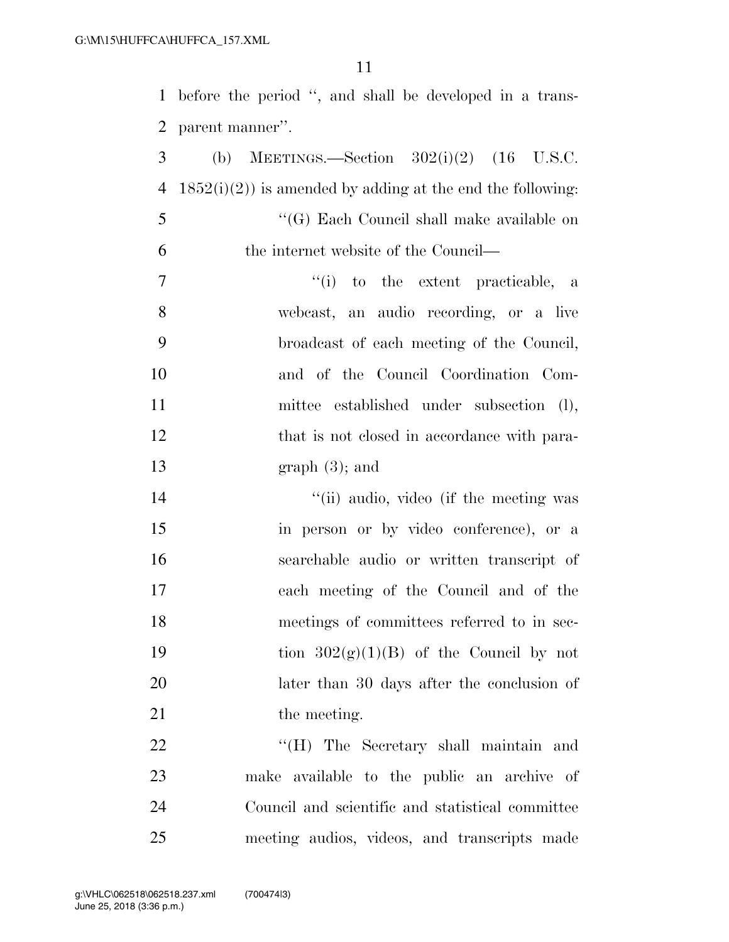before the period '', and shall be developed in a trans-parent manner''.

3 (b) MEETINGS.—Section  $302(i)(2)$  (16 U.S.C. 4 1852(i)(2)) is amended by adding at the end the following: ''(G) Each Council shall make available on the internet website of the Council—  $(i)$  to the extent practicable, a webcast, an audio recording, or a live broadcast of each meeting of the Council, and of the Council Coordination Com- mittee established under subsection (l), 12 that is not closed in accordance with para- graph (3); and 14 ''(ii) audio, video (if the meeting was in person or by video conference), or a searchable audio or written transcript of each meeting of the Council and of the meetings of committees referred to in sec-19 tion  $302(g)(1)(B)$  of the Council by not later than 30 days after the conclusion of 21 the meeting. 22 "'(H) The Secretary shall maintain and make available to the public an archive of Council and scientific and statistical committee

meeting audios, videos, and transcripts made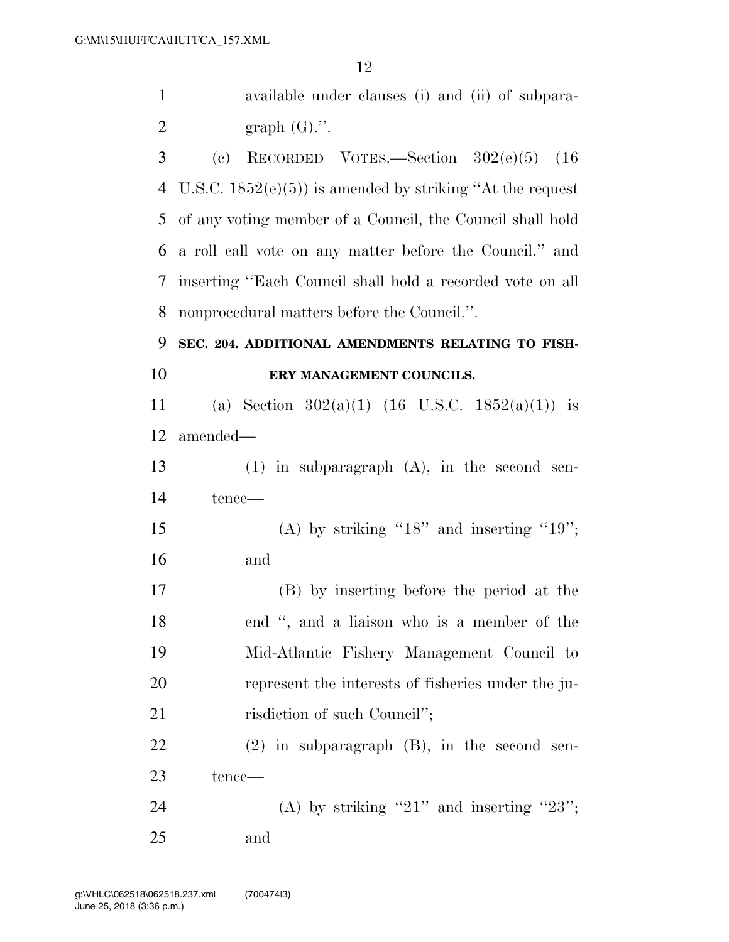| $\mathbf{1}$   | available under clauses (i) and (ii) of subpara-                      |
|----------------|-----------------------------------------------------------------------|
| $\overline{2}$ | graph $(G)$ .".                                                       |
| 3              | RECORDED VOTES.-Section $302(e)(5)$ (16<br>$\left( \mathrm{e}\right)$ |
| $\overline{4}$ | U.S.C. $1852(e)(5)$ is amended by striking "At the request"           |
| 5              | of any voting member of a Council, the Council shall hold             |
| 6              | a roll call vote on any matter before the Council." and               |
| 7              | inserting "Each Council shall hold a recorded vote on all             |
| 8              | nonprocedural matters before the Council.".                           |
| 9              | SEC. 204. ADDITIONAL AMENDMENTS RELATING TO FISH-                     |
| 10             | ERY MANAGEMENT COUNCILS.                                              |
| 11             | (a) Section $302(a)(1)$ (16 U.S.C. 1852(a)(1)) is                     |
| 12             | amended—                                                              |
| 13             | $(1)$ in subparagraph $(A)$ , in the second sen-                      |
| 14             | tence—                                                                |
| 15             | (A) by striking " $18$ " and inserting " $19$ ";                      |
| 16             | and                                                                   |
| 17             | (B) by inserting before the period at the                             |
| 18             | end ", and a liaison who is a member of the                           |
| 19             | Mid-Atlantic Fishery Management Council to                            |
| 20             | represent the interests of fisheries under the ju-                    |
| 21             | risdiction of such Council";                                          |
| 22             | $(2)$ in subparagraph $(B)$ , in the second sen-                      |
| 23             | tence—                                                                |
| 24             | (A) by striking "21" and inserting "23";                              |
| 25             | and                                                                   |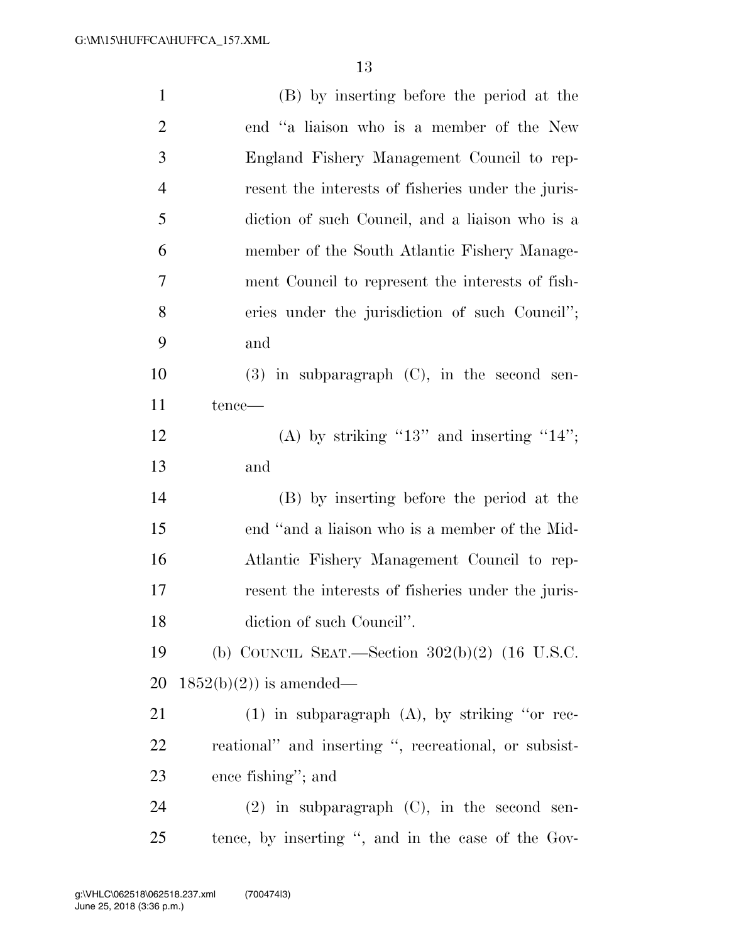| $\mathbf{1}$   | (B) by inserting before the period at the             |
|----------------|-------------------------------------------------------|
| $\overline{2}$ | end "a liaison who is a member of the New             |
| 3              | England Fishery Management Council to rep-            |
| $\overline{4}$ | resent the interests of fisheries under the juris-    |
| 5              | diction of such Council, and a liaison who is a       |
| 6              | member of the South Atlantic Fishery Manage-          |
| 7              | ment Council to represent the interests of fish-      |
| 8              | eries under the jurisdiction of such Council";        |
| 9              | and                                                   |
| 10             | $(3)$ in subparagraph $(C)$ , in the second sen-      |
| 11             | tence-                                                |
| 12             | (A) by striking "13" and inserting "14";              |
| 13             | and                                                   |
| 14             | (B) by inserting before the period at the             |
| 15             | end "and a liaison who is a member of the Mid-        |
| 16             | Atlantic Fishery Management Council to rep-           |
| 17             | resent the interests of fisheries under the juris-    |
| 18             | diction of such Council".                             |
| 19             | (b) COUNCIL SEAT.—Section $302(b)(2)$ (16 U.S.C.      |
| 20             | $1852(b)(2)$ is amended—                              |
| 21             | $(1)$ in subparagraph $(A)$ , by striking "or rec-    |
| <u>22</u>      | reational" and inserting ", recreational, or subsist- |
| 23             | ence fishing"; and                                    |
| 24             | $(2)$ in subparagraph $(C)$ , in the second sen-      |
| 25             | tence, by inserting ", and in the case of the Gov-    |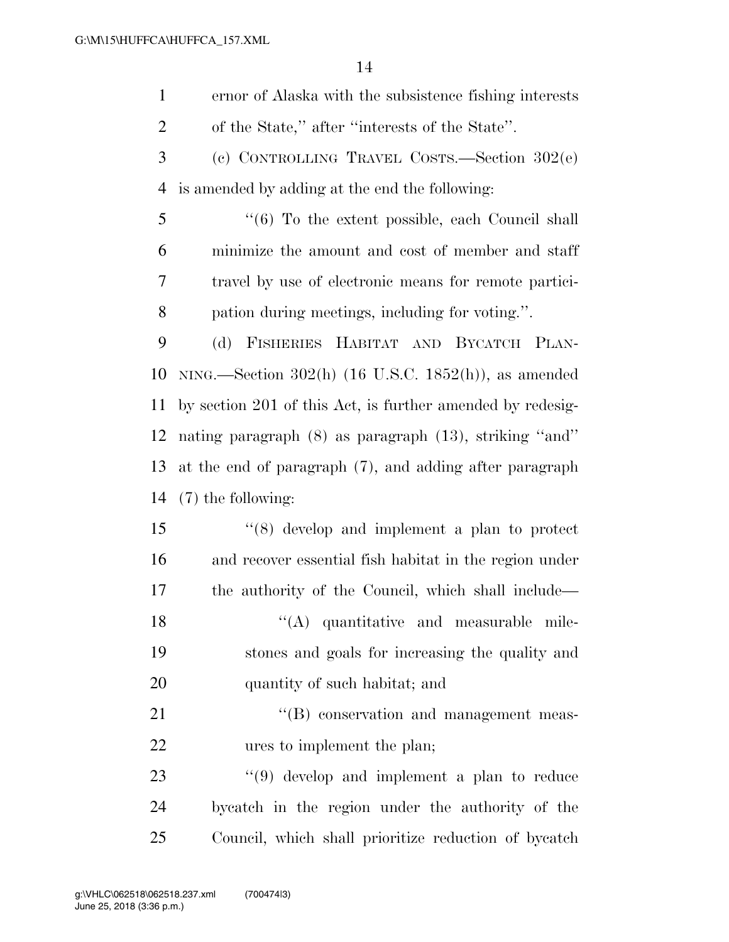| $\mathbf{1}$ | ernor of Alaska with the subsistence fishing interests |
|--------------|--------------------------------------------------------|
| 2            | of the State," after "interests of the State".         |
| $\mathbf{3}$ | (c) CONTROLLING TRAVEL COSTS.—Section $302(e)$         |

is amended by adding at the end the following:

 ''(6) To the extent possible, each Council shall minimize the amount and cost of member and staff travel by use of electronic means for remote partici-pation during meetings, including for voting.''.

 (d) FISHERIES HABITAT AND BYCATCH PLAN- NING.—Section 302(h) (16 U.S.C. 1852(h)), as amended by section 201 of this Act, is further amended by redesig- nating paragraph (8) as paragraph (13), striking ''and'' at the end of paragraph (7), and adding after paragraph (7) the following:

 ''(8) develop and implement a plan to protect and recover essential fish habitat in the region under the authority of the Council, which shall include— 18 ''(A) quantitative and measurable mile- stones and goals for increasing the quality and quantity of such habitat; and

21  $\text{``(B)}$  conservation and management meas-ures to implement the plan;

23 ''(9) develop and implement a plan to reduce bycatch in the region under the authority of the Council, which shall prioritize reduction of bycatch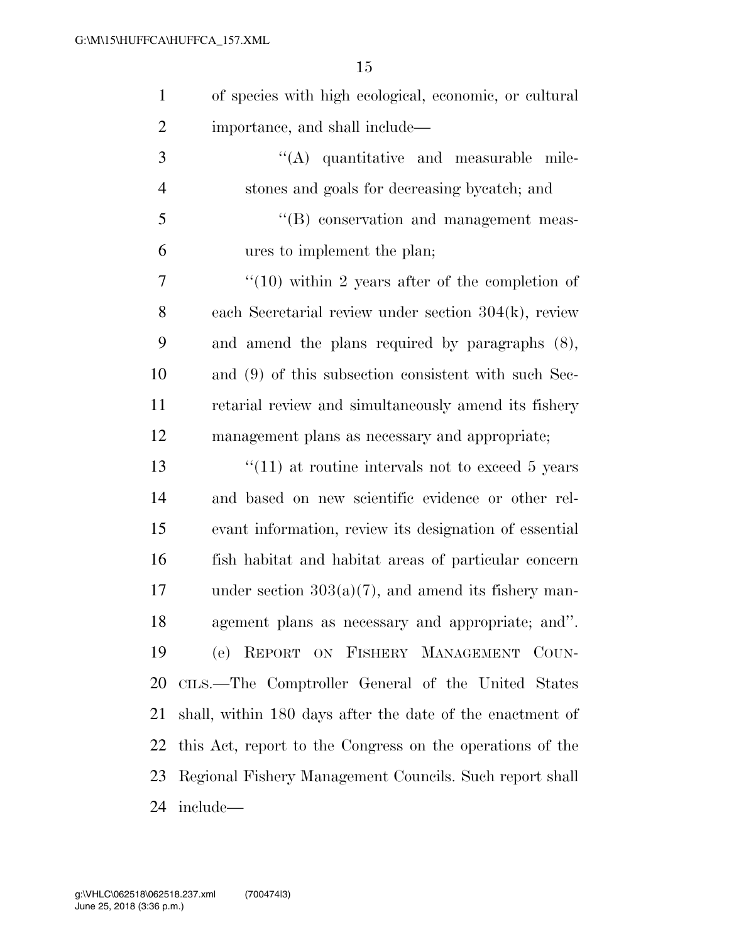| $\mathbf{1}$   | of species with high ecological, economic, or cultural    |
|----------------|-----------------------------------------------------------|
| $\overline{2}$ | importance, and shall include—                            |
| 3              | $\lq\lq$ quantitative and measurable mile-                |
| $\overline{4}$ | stones and goals for decreasing by catch; and             |
| 5              | $\lq\lq$ conservation and management meas-                |
| 6              | ures to implement the plan;                               |
| 7              | $\degree$ (10) within 2 years after of the completion of  |
| 8              | each Secretarial review under section $304(k)$ , review   |
| 9              | and amend the plans required by paragraphs (8),           |
| 10             | and (9) of this subsection consistent with such Sec-      |
| 11             | retarial review and simultaneously amend its fishery      |
| 12             | management plans as necessary and appropriate;            |
| 13             | $``(11)$ at routine intervals not to exceed 5 years       |
| 14             | and based on new scientific evidence or other rel-        |
| 15             | evant information, review its designation of essential    |
| 16             | fish habitat and habitat areas of particular concern      |
| 17             | under section $303(a)(7)$ , and amend its fishery man-    |
| 18             | agement plans as necessary and appropriate; and".         |
| 19             | (e) REPORT ON FISHERY MANAGEMENT COUN-                    |
| 20             | CILS.—The Comptroller General of the United States        |
| 21             | shall, within 180 days after the date of the enactment of |
| 22             | this Act, report to the Congress on the operations of the |
| 23             | Regional Fishery Management Councils. Such report shall   |
| 24             | include—                                                  |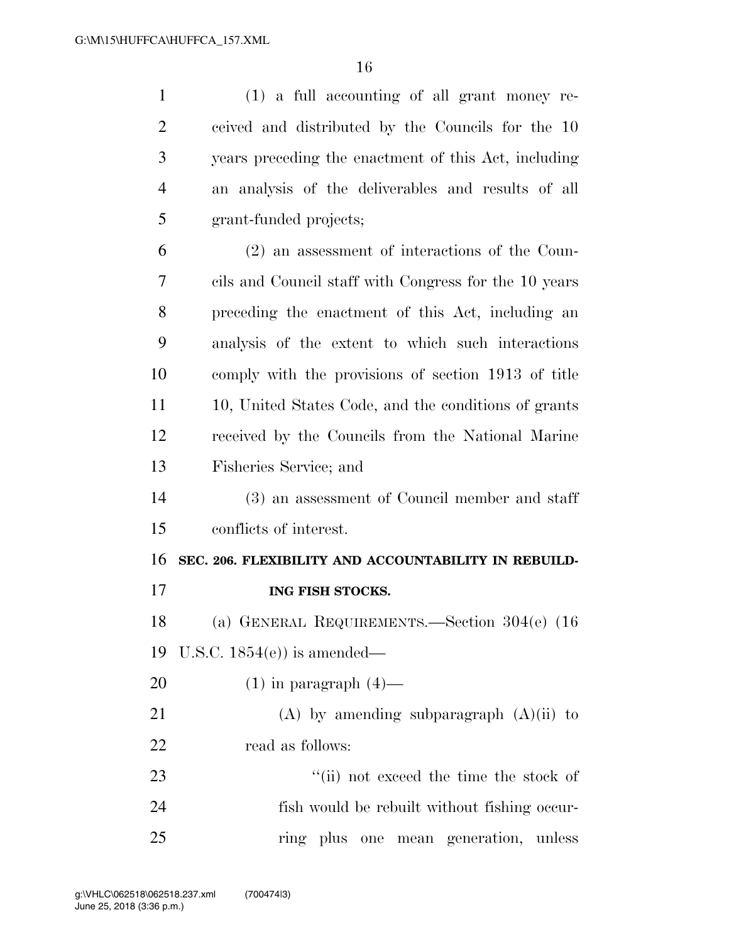(1) a full accounting of all grant money re- ceived and distributed by the Councils for the 10 years preceding the enactment of this Act, including an analysis of the deliverables and results of all grant-funded projects; (2) an assessment of interactions of the Coun- cils and Council staff with Congress for the 10 years preceding the enactment of this Act, including an analysis of the extent to which such interactions comply with the provisions of section 1913 of title 11 10, United States Code, and the conditions of grants received by the Councils from the National Marine Fisheries Service; and (3) an assessment of Council member and staff conflicts of interest. **SEC. 206. FLEXIBILITY AND ACCOUNTABILITY IN REBUILD- ING FISH STOCKS.**  (a) GENERAL REQUIREMENTS.—Section 304(e) (16 U.S.C. 1854(e)) is amended—  $(1)$  in paragraph  $(4)$ — 21 (A) by amending subparagraph  $(A)(ii)$  to read as follows: 23 ''(ii) not exceed the time the stock of fish would be rebuilt without fishing occur-ring plus one mean generation, unless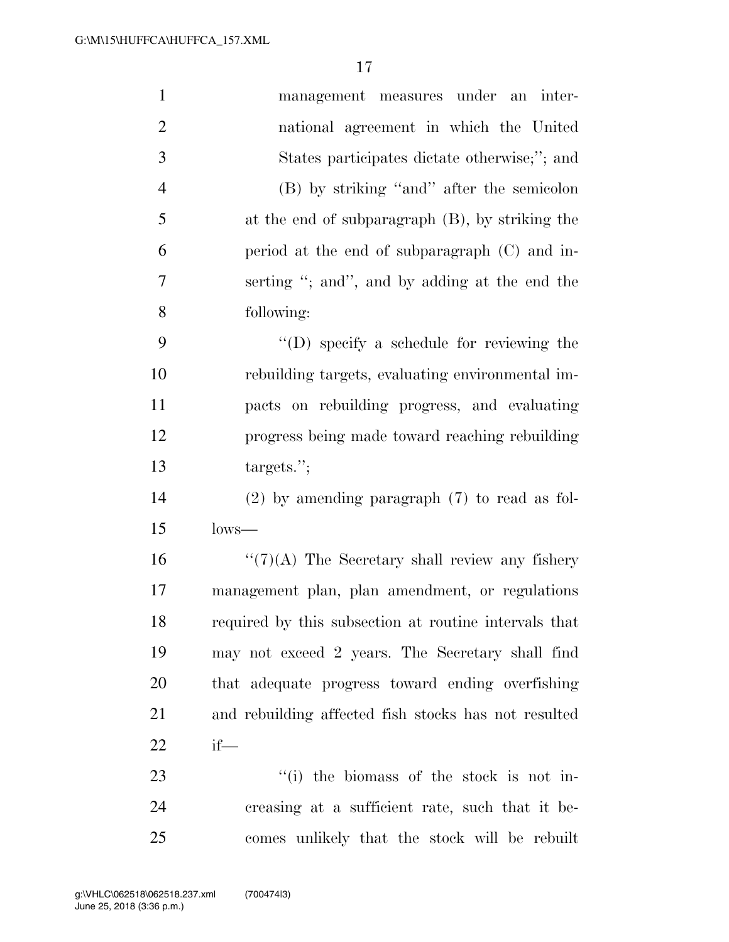| $\mathbf{1}$   | management measures under an inter-                   |
|----------------|-------------------------------------------------------|
| $\overline{2}$ | national agreement in which the United                |
| 3              | States participates dictate otherwise;"; and          |
| $\overline{4}$ | (B) by striking "and" after the semicolon             |
| 5              | at the end of subparagraph $(B)$ , by striking the    |
| 6              | period at the end of subparagraph (C) and in-         |
| $\tau$         | serting "; and", and by adding at the end the         |
| 8              | following:                                            |
| 9              | "(D) specify a schedule for reviewing the             |
| 10             | rebuilding targets, evaluating environmental im-      |
| 11             | pacts on rebuilding progress, and evaluating          |
| 12             | progress being made toward reaching rebuilding        |
| 13             | targest:                                              |
| 14             | $(2)$ by amending paragraph $(7)$ to read as fol-     |
| 15             | $lows$ —                                              |
| 16             | $``(7)(A)$ The Secretary shall review any fishery     |
| 17             | management plan, plan amendment, or regulations       |
| 18             | required by this subsection at routine intervals that |
| 19             | may not exceed 2 years. The Secretary shall find      |
| 20             | that adequate progress toward ending overfishing      |
| 21             | and rebuilding affected fish stocks has not resulted  |
| 22             | if-                                                   |
| 23             | "(i) the biomass of the stock is not in-              |
| 24             | creasing at a sufficient rate, such that it be-       |
| 25             | comes unlikely that the stock will be rebuilt         |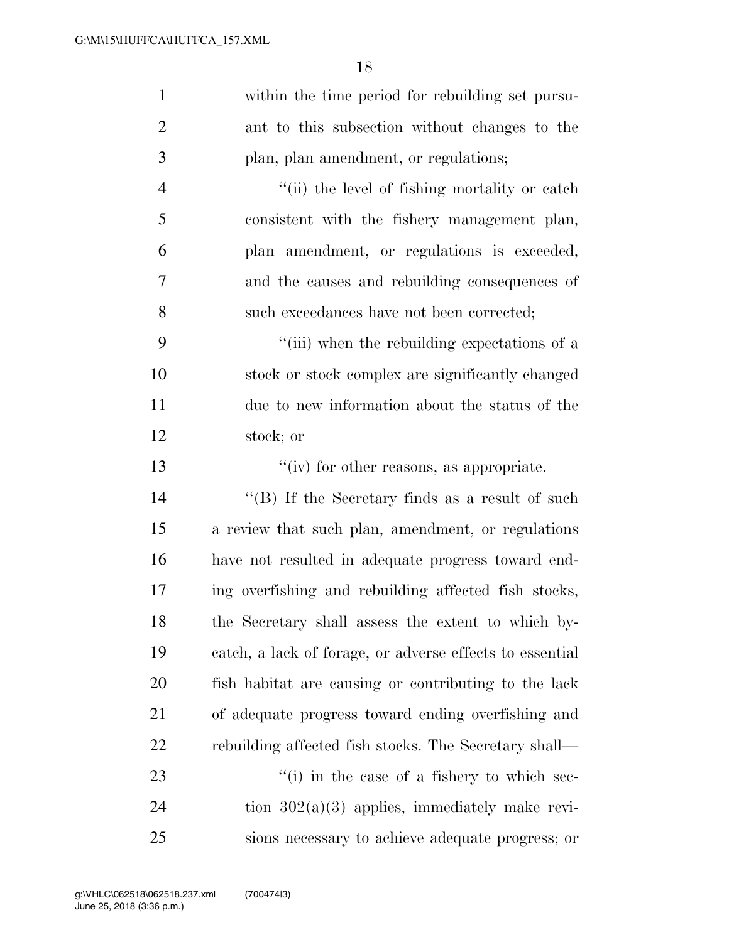| $\mathbf{1}$   | within the time period for rebuilding set pursu-         |
|----------------|----------------------------------------------------------|
| $\overline{2}$ | ant to this subsection without changes to the            |
| 3              | plan, plan amendment, or regulations;                    |
| $\overline{4}$ | "(ii) the level of fishing mortality or catch            |
| 5              | consistent with the fishery management plan,             |
| 6              | plan amendment, or regulations is exceeded,              |
| $\tau$         | and the causes and rebuilding consequences of            |
| 8              | such exceedances have not been corrected;                |
| 9              | "(iii) when the rebuilding expectations of a             |
| 10             | stock or stock complex are significantly changed         |
| 11             | due to new information about the status of the           |
| 12             | stock; or                                                |
| 13             | $``(iv)$ for other reasons, as appropriate.              |
| 14             | "(B) If the Secretary finds as a result of such          |
| 15             | a review that such plan, amendment, or regulations       |
| 16             | have not resulted in adequate progress toward end-       |
| 17             | ing overfishing and rebuilding affected fish stocks,     |
| 18             | the Secretary shall assess the extent to which by-       |
| 19             | catch, a lack of forage, or adverse effects to essential |
| <b>20</b>      | fish habitat are causing or contributing to the lack     |
| 21             | of adequate progress toward ending overfishing and       |
| 22             | rebuilding affected fish stocks. The Secretary shall—    |
| 23             | "(i) in the case of a fishery to which sec-              |
| 24             | tion $302(a)(3)$ applies, immediately make revi-         |
| 25             | sions necessary to achieve adequate progress; or         |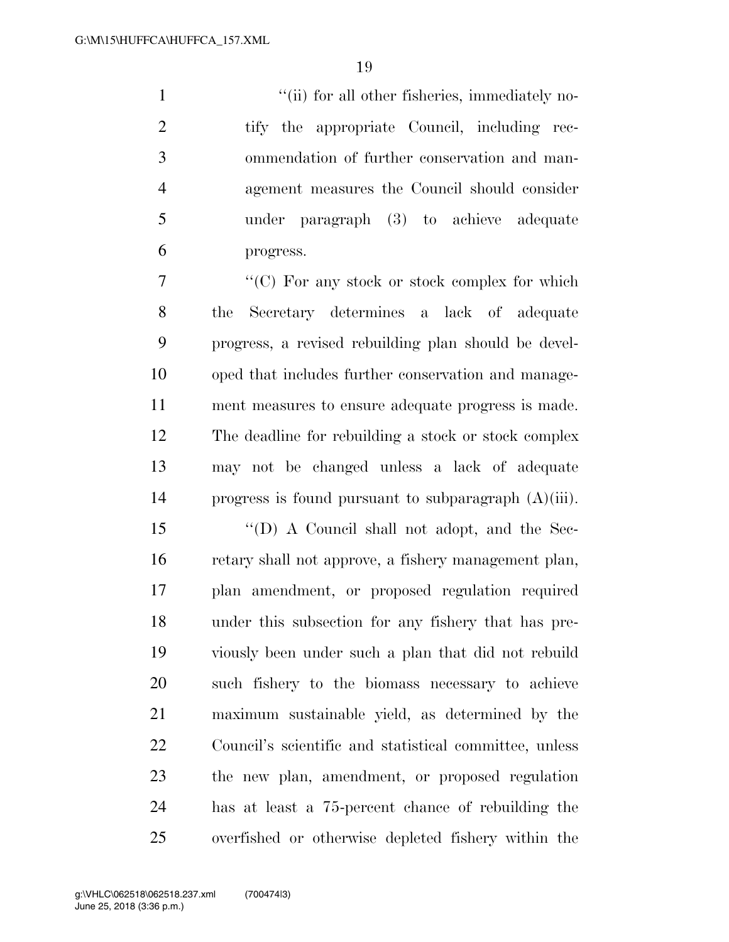1 ''(ii) for all other fisheries, immediately no- tify the appropriate Council, including rec- ommendation of further conservation and man- agement measures the Council should consider under paragraph (3) to achieve adequate progress.

 ''(C) For any stock or stock complex for which the Secretary determines a lack of adequate progress, a revised rebuilding plan should be devel- oped that includes further conservation and manage- ment measures to ensure adequate progress is made. The deadline for rebuilding a stock or stock complex may not be changed unless a lack of adequate progress is found pursuant to subparagraph (A)(iii).

 ''(D) A Council shall not adopt, and the Sec- retary shall not approve, a fishery management plan, plan amendment, or proposed regulation required under this subsection for any fishery that has pre- viously been under such a plan that did not rebuild such fishery to the biomass necessary to achieve maximum sustainable yield, as determined by the Council's scientific and statistical committee, unless the new plan, amendment, or proposed regulation has at least a 75-percent chance of rebuilding the overfished or otherwise depleted fishery within the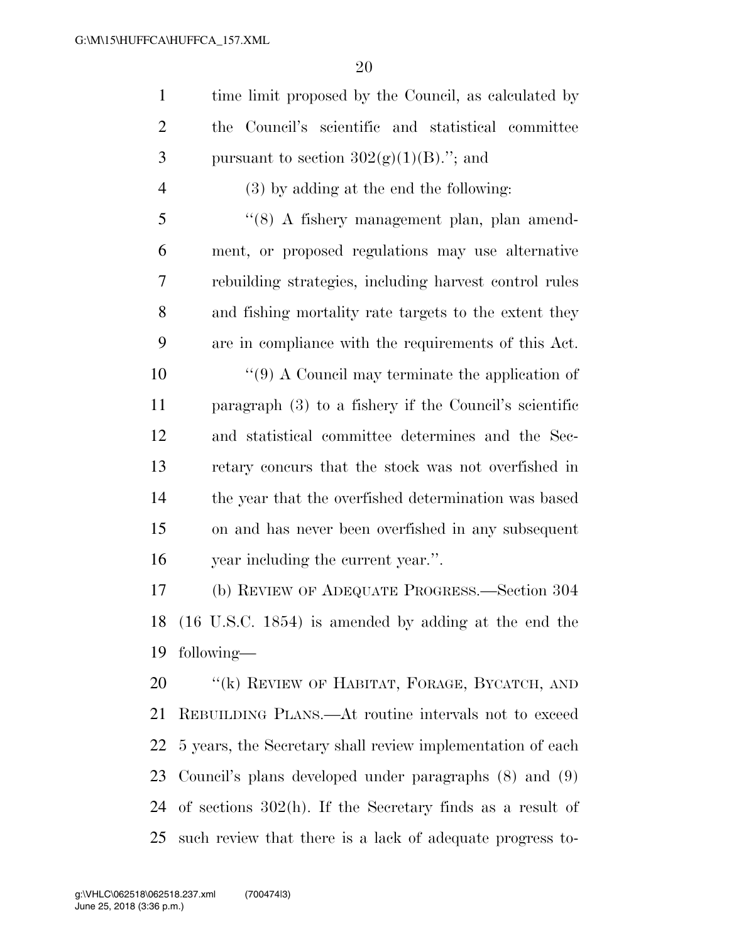| 1              | time limit proposed by the Council, as calculated by |
|----------------|------------------------------------------------------|
| 2              | the Council's scientific and statistical committee   |
| 3              | pursuant to section $302(g)(1)(B)$ ."; and           |
| $\overline{4}$ | $(3)$ by adding at the end the following:            |

 ''(8) A fishery management plan, plan amend- ment, or proposed regulations may use alternative rebuilding strategies, including harvest control rules and fishing mortality rate targets to the extent they are in compliance with the requirements of this Act.

 ''(9) A Council may terminate the application of paragraph (3) to a fishery if the Council's scientific and statistical committee determines and the Sec- retary concurs that the stock was not overfished in the year that the overfished determination was based on and has never been overfished in any subsequent year including the current year.''.

 (b) REVIEW OF ADEQUATE PROGRESS.—Section 304 (16 U.S.C. 1854) is amended by adding at the end the following—

20 "(k) REVIEW OF HABITAT, FORAGE, BYCATCH, AND REBUILDING PLANS.—At routine intervals not to exceed 5 years, the Secretary shall review implementation of each Council's plans developed under paragraphs (8) and (9) of sections 302(h). If the Secretary finds as a result of such review that there is a lack of adequate progress to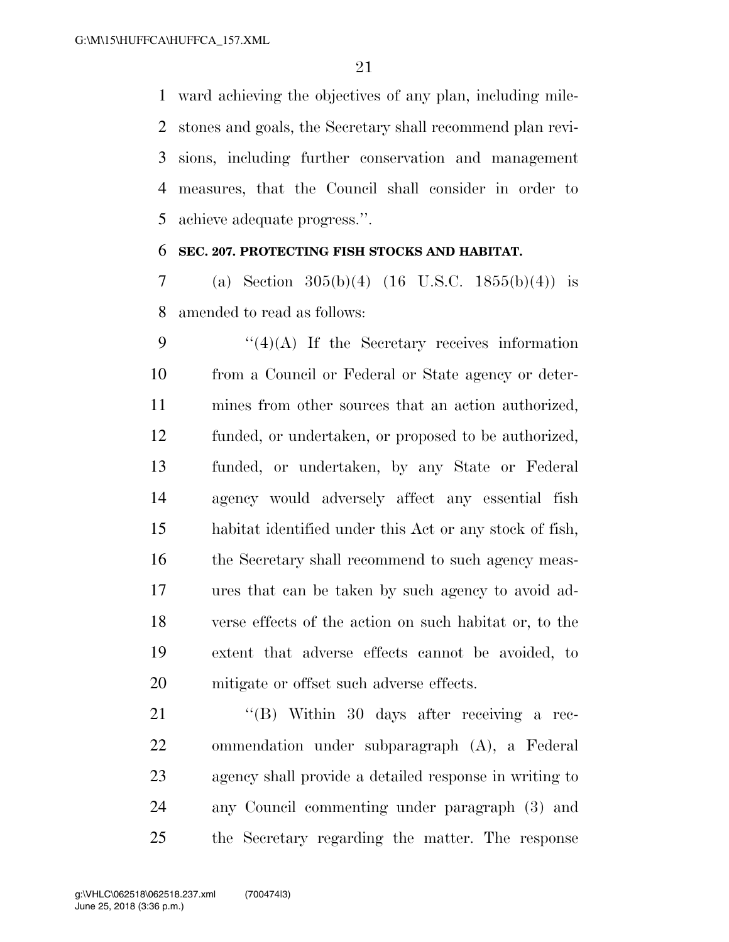ward achieving the objectives of any plan, including mile- stones and goals, the Secretary shall recommend plan revi- sions, including further conservation and management measures, that the Council shall consider in order to achieve adequate progress.''.

## **SEC. 207. PROTECTING FISH STOCKS AND HABITAT.**

 (a) Section 305(b)(4) (16 U.S.C. 1855(b)(4)) is amended to read as follows:

 $\frac{1}{4}(4)(A)$  If the Secretary receives information from a Council or Federal or State agency or deter- mines from other sources that an action authorized, funded, or undertaken, or proposed to be authorized, funded, or undertaken, by any State or Federal agency would adversely affect any essential fish habitat identified under this Act or any stock of fish, 16 the Secretary shall recommend to such agency meas- ures that can be taken by such agency to avoid ad- verse effects of the action on such habitat or, to the extent that adverse effects cannot be avoided, to mitigate or offset such adverse effects.

21 "(B) Within 30 days after receiving a rec- ommendation under subparagraph (A), a Federal agency shall provide a detailed response in writing to any Council commenting under paragraph (3) and the Secretary regarding the matter. The response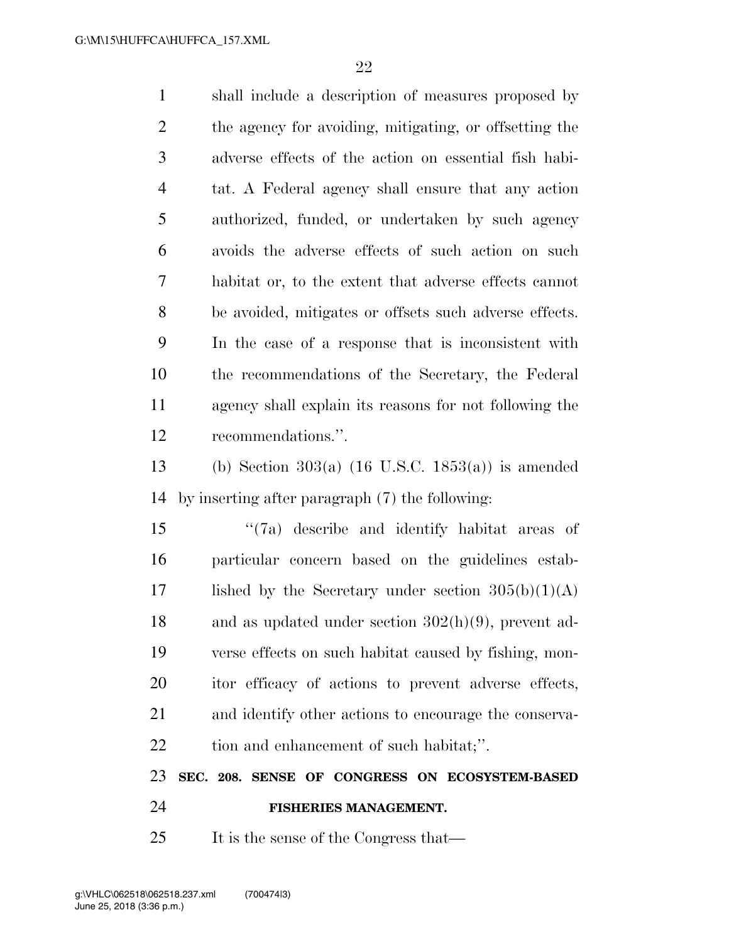shall include a description of measures proposed by the agency for avoiding, mitigating, or offsetting the adverse effects of the action on essential fish habi- tat. A Federal agency shall ensure that any action authorized, funded, or undertaken by such agency avoids the adverse effects of such action on such habitat or, to the extent that adverse effects cannot be avoided, mitigates or offsets such adverse effects. In the case of a response that is inconsistent with the recommendations of the Secretary, the Federal agency shall explain its reasons for not following the recommendations.''.

 (b) Section 303(a) (16 U.S.C. 1853(a)) is amended by inserting after paragraph (7) the following:

 ''(7a) describe and identify habitat areas of particular concern based on the guidelines estab-17 lished by the Secretary under section  $305(b)(1)(A)$  and as updated under section 302(h)(9), prevent ad- verse effects on such habitat caused by fishing, mon- itor efficacy of actions to prevent adverse effects, and identify other actions to encourage the conserva-22 tion and enhancement of such habitat;".

**SEC. 208. SENSE OF CONGRESS ON ECOSYSTEM-BASED** 

**FISHERIES MANAGEMENT.** 

25 It is the sense of the Congress that—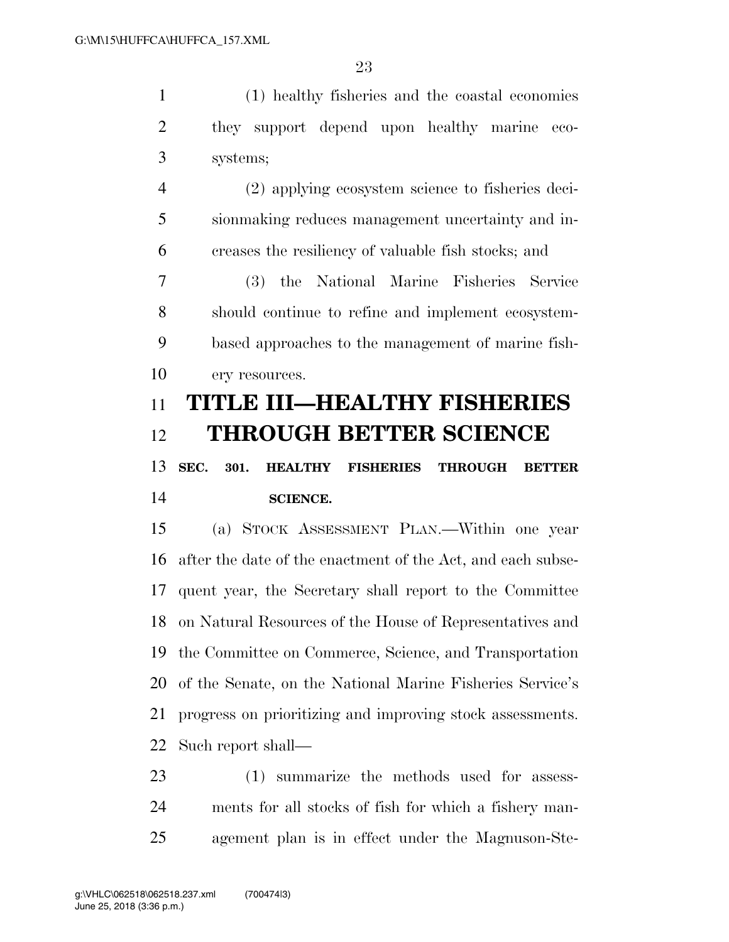|   | (1) healthy fisheries and the coastal economies   |
|---|---------------------------------------------------|
|   | they support depend upon healthy marine eco-      |
| 3 | systems;                                          |
|   | (2) applying ecosystem science to fisheries deci- |

 sionmaking reduces management uncertainty and in-creases the resiliency of valuable fish stocks; and

 (3) the National Marine Fisheries Service should continue to refine and implement ecosystem- based approaches to the management of marine fish-10 ery resources.

# **TITLE III—HEALTHY FISHERIES THROUGH BETTER SCIENCE**

# **SEC. 301. HEALTHY FISHERIES THROUGH BETTER SCIENCE.**

 (a) STOCK ASSESSMENT PLAN.—Within one year after the date of the enactment of the Act, and each subse- quent year, the Secretary shall report to the Committee on Natural Resources of the House of Representatives and the Committee on Commerce, Science, and Transportation of the Senate, on the National Marine Fisheries Service's progress on prioritizing and improving stock assessments. Such report shall—

 (1) summarize the methods used for assess- ments for all stocks of fish for which a fishery man-agement plan is in effect under the Magnuson-Ste-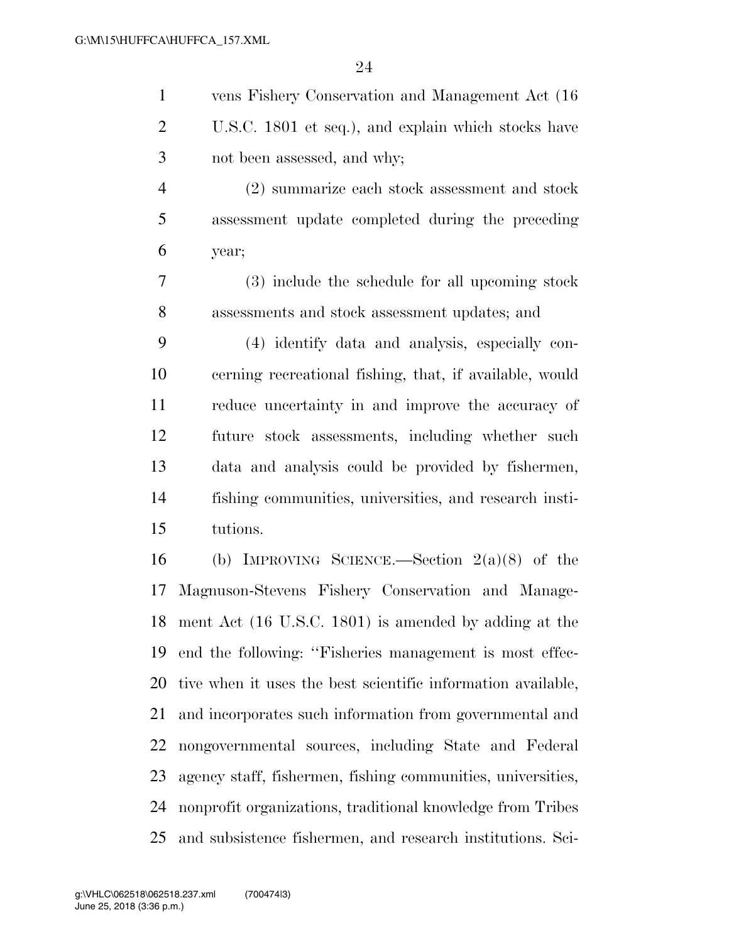|   | vens Fishery Conservation and Management Act (16)   |
|---|-----------------------------------------------------|
| 2 | U.S.C. 1801 et seq.), and explain which stocks have |
|   | not been assessed, and why;                         |
|   | (2) summarize each stock assessment and stock       |
|   | assessment update completed during the preceding    |
|   | year;                                               |

 (3) include the schedule for all upcoming stock assessments and stock assessment updates; and

 (4) identify data and analysis, especially con- cerning recreational fishing, that, if available, would reduce uncertainty in and improve the accuracy of future stock assessments, including whether such data and analysis could be provided by fishermen, fishing communities, universities, and research insti-tutions.

 (b) IMPROVING SCIENCE.—Section 2(a)(8) of the Magnuson-Stevens Fishery Conservation and Manage- ment Act (16 U.S.C. 1801) is amended by adding at the end the following: ''Fisheries management is most effec- tive when it uses the best scientific information available, and incorporates such information from governmental and nongovernmental sources, including State and Federal agency staff, fishermen, fishing communities, universities, nonprofit organizations, traditional knowledge from Tribes and subsistence fishermen, and research institutions. Sci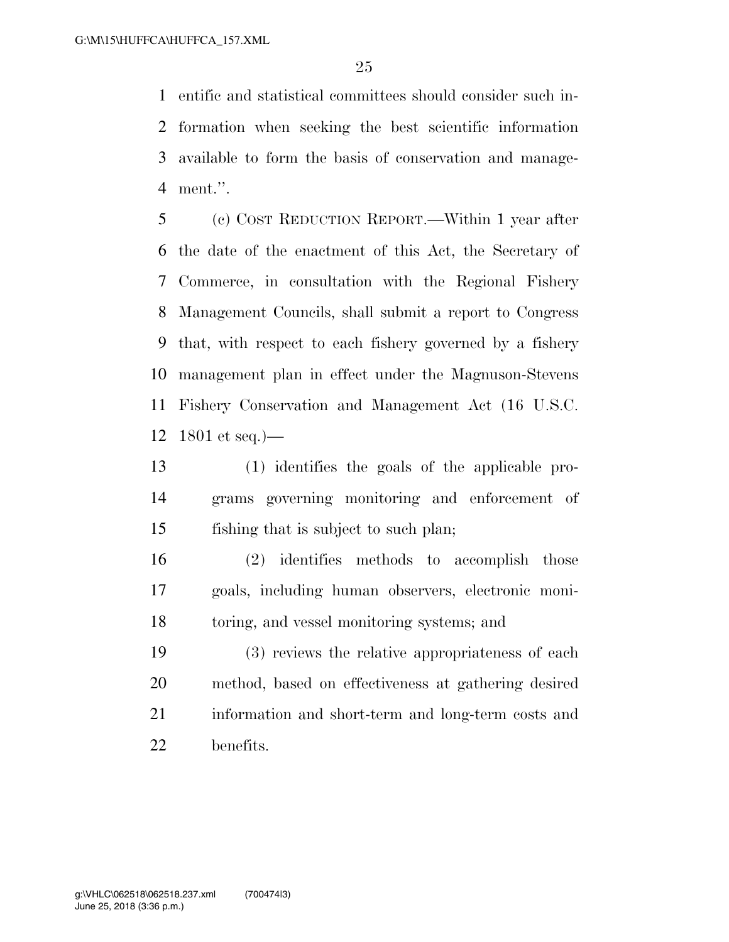entific and statistical committees should consider such in- formation when seeking the best scientific information available to form the basis of conservation and manage-ment.''.

 (c) COST REDUCTION REPORT.—Within 1 year after the date of the enactment of this Act, the Secretary of Commerce, in consultation with the Regional Fishery Management Councils, shall submit a report to Congress that, with respect to each fishery governed by a fishery management plan in effect under the Magnuson-Stevens Fishery Conservation and Management Act (16 U.S.C. 1801 et seq.)—

 (1) identifies the goals of the applicable pro- grams governing monitoring and enforcement of fishing that is subject to such plan;

 (2) identifies methods to accomplish those goals, including human observers, electronic moni-toring, and vessel monitoring systems; and

 (3) reviews the relative appropriateness of each method, based on effectiveness at gathering desired information and short-term and long-term costs and benefits.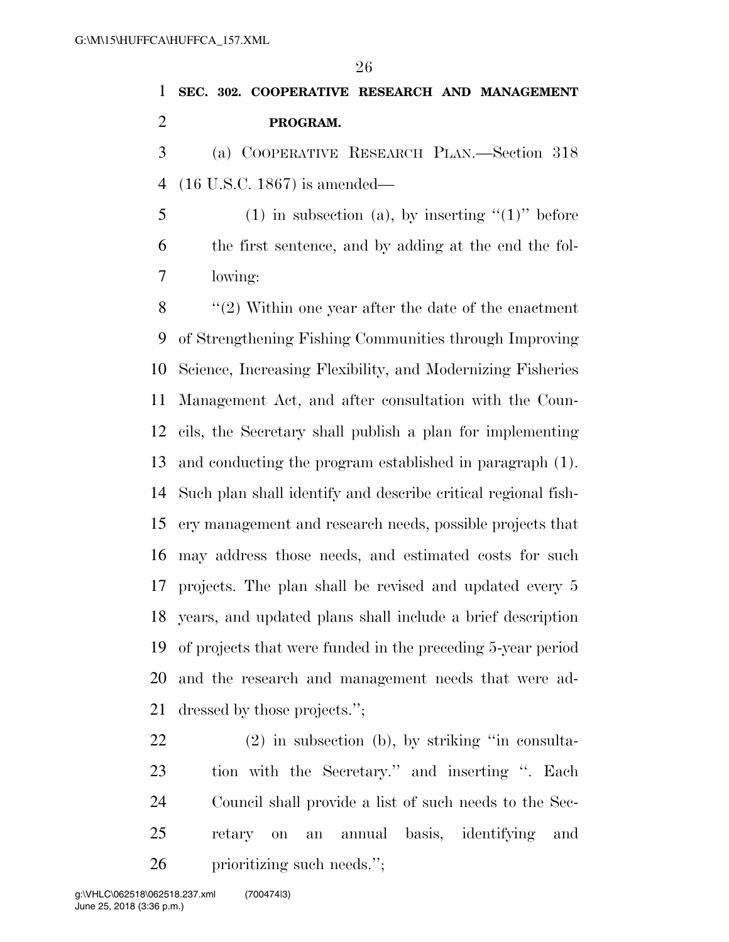# **SEC. 302. COOPERATIVE RESEARCH AND MANAGEMENT PROGRAM.**

 (a) COOPERATIVE RESEARCH PLAN.—Section 318 (16 U.S.C. 1867) is amended—

5 (1) in subsection (a), by inserting  $(1)$ " before the first sentence, and by adding at the end the fol-lowing:

 ''(2) Within one year after the date of the enactment of Strengthening Fishing Communities through Improving Science, Increasing Flexibility, and Modernizing Fisheries Management Act, and after consultation with the Coun- cils, the Secretary shall publish a plan for implementing and conducting the program established in paragraph (1). Such plan shall identify and describe critical regional fish- ery management and research needs, possible projects that may address those needs, and estimated costs for such projects. The plan shall be revised and updated every 5 years, and updated plans shall include a brief description of projects that were funded in the preceding 5-year period and the research and management needs that were ad-dressed by those projects.'';

 (2) in subsection (b), by striking ''in consulta- tion with the Secretary.'' and inserting ''. Each Council shall provide a list of such needs to the Sec- retary on an annual basis, identifying and prioritizing such needs.'';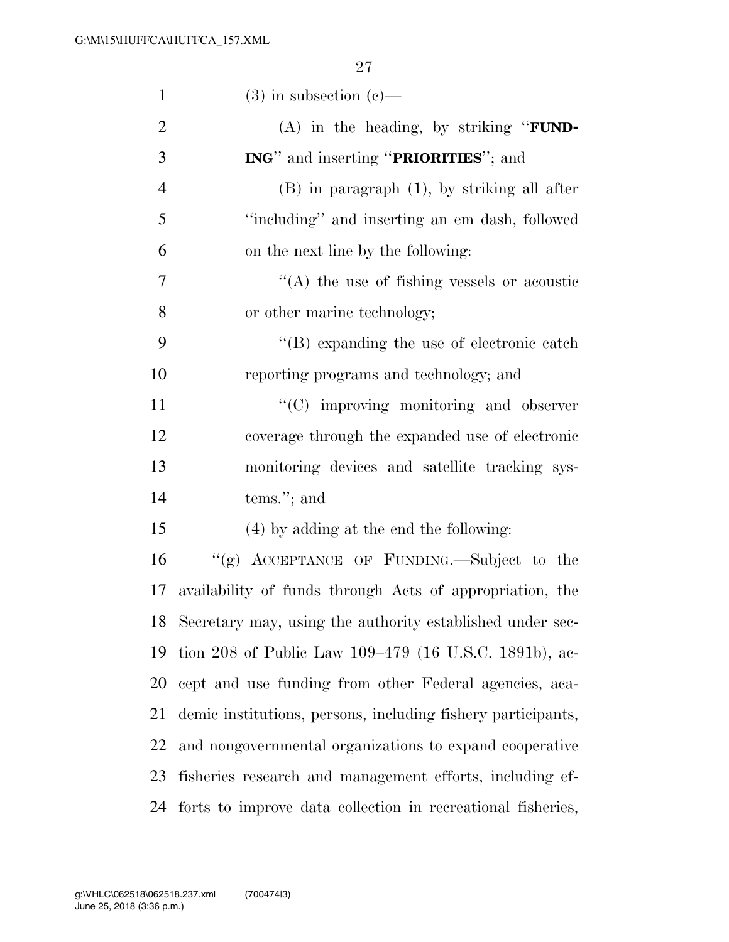| $\mathbf{1}$   | $(3)$ in subsection $(e)$ —                                  |
|----------------|--------------------------------------------------------------|
| $\overline{2}$ | $(A)$ in the heading, by striking " <b>FUND</b> -            |
| 3              | <b>ING</b> " and inserting " <b>PRIORITIES</b> "; and        |
| $\overline{4}$ | $(B)$ in paragraph $(1)$ , by striking all after             |
| 5              | "including" and inserting an em dash, followed               |
| 6              | on the next line by the following:                           |
| 7              | $\cdot$ (A) the use of fishing vessels or acoustic           |
| $8\,$          | or other marine technology;                                  |
| 9              | $\lq\lq$ expanding the use of electronic catch               |
| 10             | reporting programs and technology; and                       |
| 11             | "(C) improving monitoring and observer                       |
| 12             | coverage through the expanded use of electronic              |
| 13             | monitoring devices and satellite tracking sys-               |
| 14             | $tems.'$ ; and                                               |
| 15             | (4) by adding at the end the following:                      |
| 16             | "(g) ACCEPTANCE OF FUNDING.—Subject to the                   |
| 17             | availability of funds through Acts of appropriation, the     |
|                | 18 Secretary may, using the authority established under sec- |
| 19             | tion 208 of Public Law 109–479 (16 U.S.C. 1891b), ac-        |
| 20             | cept and use funding from other Federal agencies, aca-       |
| 21             | demic institutions, persons, including fishery participants, |
| 22             | and nongovernmental organizations to expand cooperative      |
| 23             | fisheries research and management efforts, including ef-     |
| 24             | forts to improve data collection in recreational fisheries,  |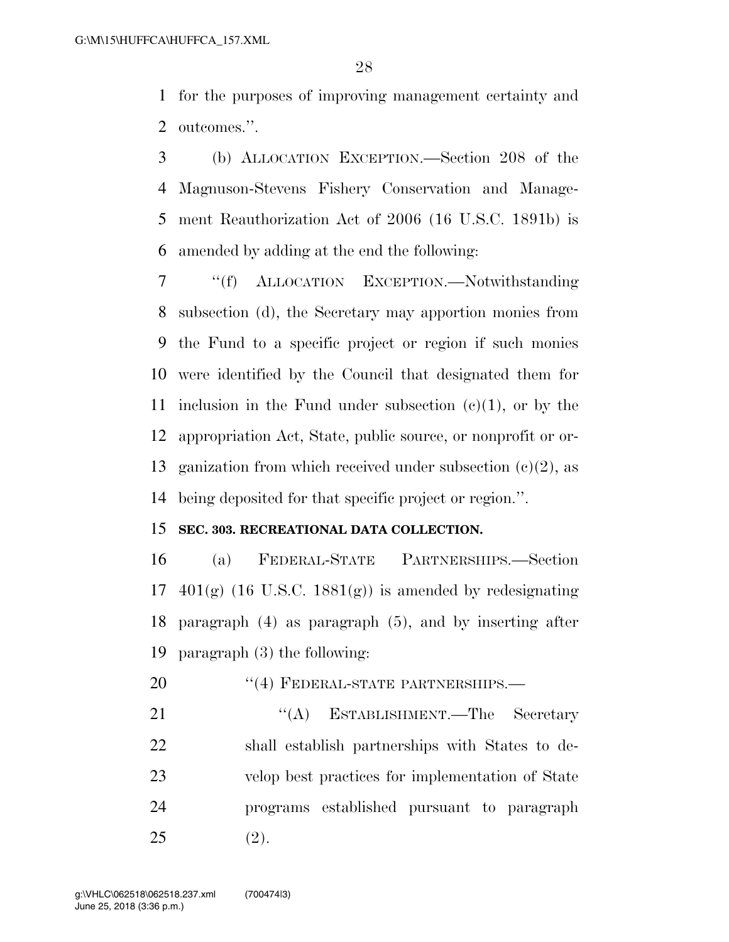for the purposes of improving management certainty and outcomes.''.

 (b) ALLOCATION EXCEPTION.—Section 208 of the Magnuson-Stevens Fishery Conservation and Manage- ment Reauthorization Act of 2006 (16 U.S.C. 1891b) is amended by adding at the end the following:

 ''(f) ALLOCATION EXCEPTION.—Notwithstanding subsection (d), the Secretary may apportion monies from the Fund to a specific project or region if such monies were identified by the Council that designated them for 11 inclusion in the Fund under subsection  $(c)(1)$ , or by the appropriation Act, State, public source, or nonprofit or or-13 ganization from which received under subsection  $(c)(2)$ , as being deposited for that specific project or region.''.

## **SEC. 303. RECREATIONAL DATA COLLECTION.**

 (a) FEDERAL-STATE PARTNERSHIPS.—Section  $401(g)$  (16 U.S.C. 1881 $(g)$ ) is amended by redesignating paragraph (4) as paragraph (5), and by inserting after paragraph (3) the following:

20 "(4) FEDERAL-STATE PARTNERSHIPS.—

21 ''(A) ESTABLISHMENT.—The Secretary shall establish partnerships with States to de- velop best practices for implementation of State programs established pursuant to paragraph (2).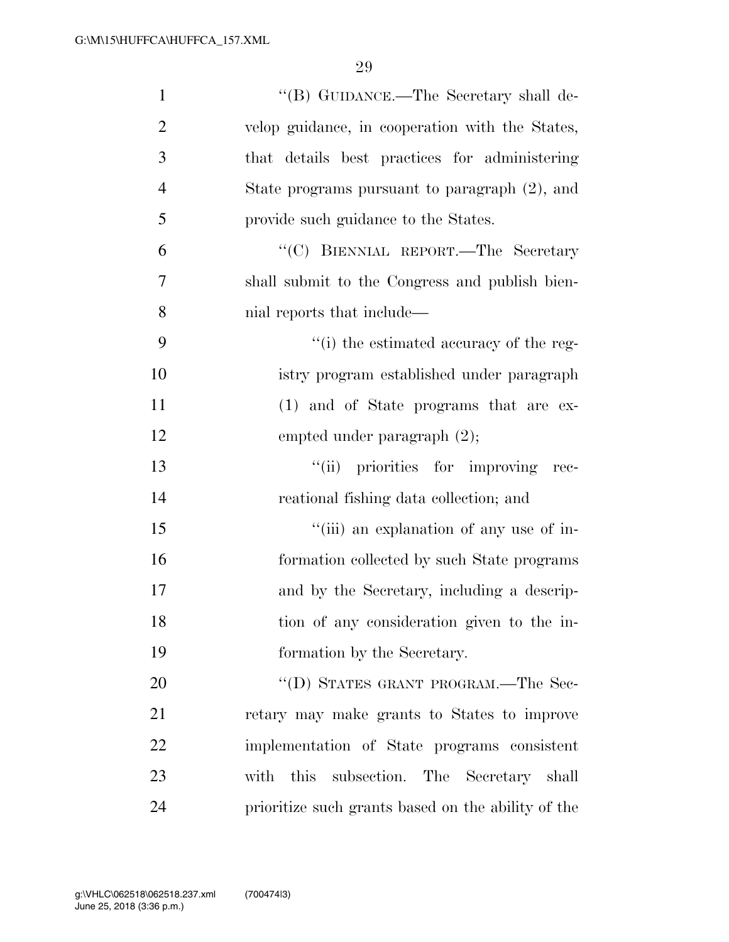| $\mathbf{1}$   | "(B) GUIDANCE.—The Secretary shall de-             |
|----------------|----------------------------------------------------|
| $\overline{2}$ | velop guidance, in cooperation with the States,    |
| 3              | that details best practices for administering      |
| $\overline{4}$ | State programs pursuant to paragraph (2), and      |
| 5              | provide such guidance to the States.               |
| 6              | "(C) BIENNIAL REPORT.—The Secretary                |
| 7              | shall submit to the Congress and publish bien-     |
| 8              | nial reports that include—                         |
| 9              | "(i) the estimated accuracy of the reg-            |
| 10             | istry program established under paragraph          |
| 11             | $(1)$ and of State programs that are ex-           |
| 12             | empted under paragraph $(2)$ ;                     |
| 13             | "(ii) priorities for improving rec-                |
| 14             | reational fishing data collection; and             |
| 15             | "(iii) an explanation of any use of in-            |
| 16             | formation collected by such State programs         |
| 17             | and by the Secretary, including a descrip-         |
| 18             | tion of any consideration given to the in-         |
| 19             | formation by the Secretary.                        |
| 20             | "(D) STATES GRANT PROGRAM.—The Sec-                |
| 21             | retary may make grants to States to improve        |
| 22             | implementation of State programs consistent        |
| 23             | with this subsection. The Secretary shall          |
| 24             | prioritize such grants based on the ability of the |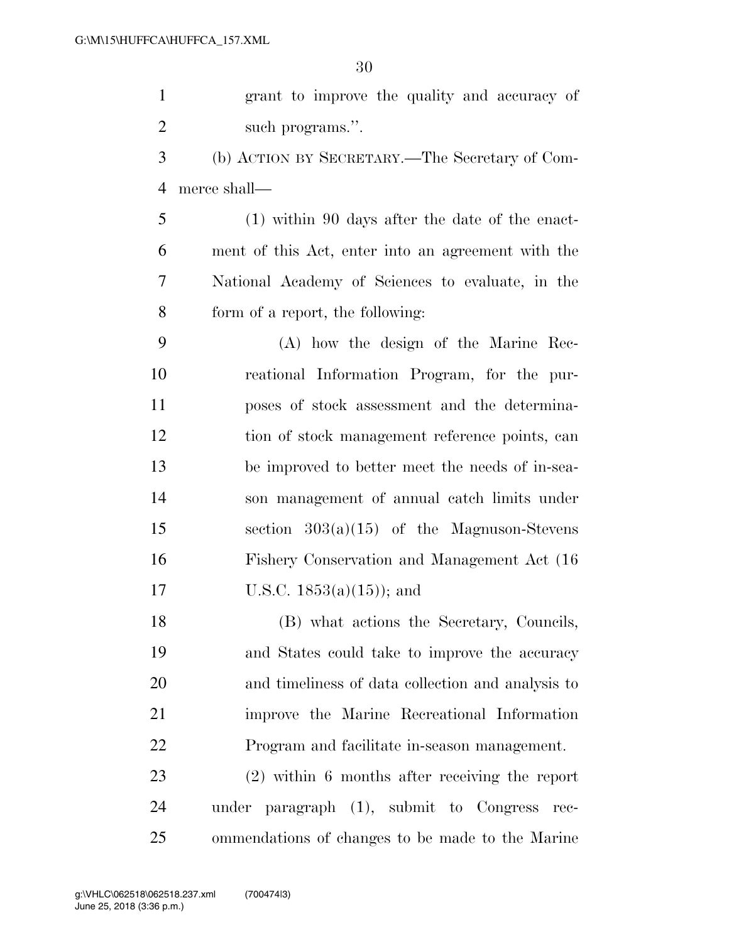grant to improve the quality and accuracy of 2 such programs.".

 (b) ACTION BY SECRETARY.—The Secretary of Com-merce shall—

 (1) within 90 days after the date of the enact- ment of this Act, enter into an agreement with the National Academy of Sciences to evaluate, in the form of a report, the following:

 (A) how the design of the Marine Rec- reational Information Program, for the pur- poses of stock assessment and the determina- tion of stock management reference points, can be improved to better meet the needs of in-sea- son management of annual catch limits under section 303(a)(15) of the Magnuson-Stevens Fishery Conservation and Management Act (16 U.S.C. 1853(a)(15)); and

 (B) what actions the Secretary, Councils, and States could take to improve the accuracy and timeliness of data collection and analysis to improve the Marine Recreational Information Program and facilitate in-season management.

 (2) within 6 months after receiving the report under paragraph (1), submit to Congress rec-ommendations of changes to be made to the Marine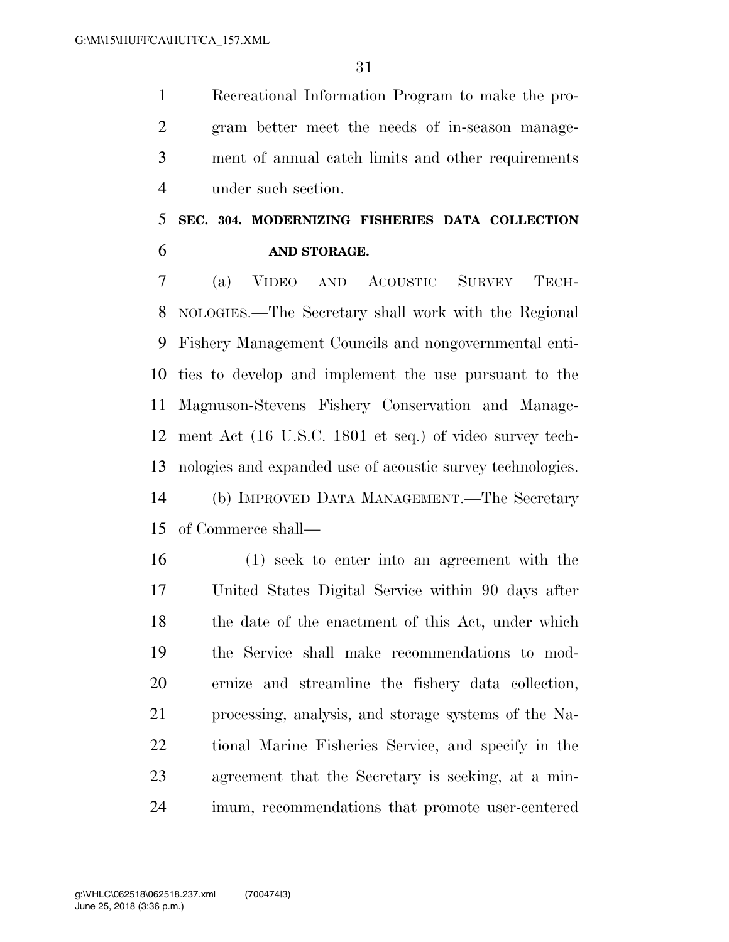Recreational Information Program to make the pro- gram better meet the needs of in-season manage- ment of annual catch limits and other requirements under such section.

## **SEC. 304. MODERNIZING FISHERIES DATA COLLECTION AND STORAGE.**

 (a) VIDEO AND ACOUSTIC SURVEY TECH- NOLOGIES.—The Secretary shall work with the Regional Fishery Management Councils and nongovernmental enti- ties to develop and implement the use pursuant to the Magnuson-Stevens Fishery Conservation and Manage- ment Act (16 U.S.C. 1801 et seq.) of video survey tech- nologies and expanded use of acoustic survey technologies. (b) IMPROVED DATA MANAGEMENT.—The Secretary of Commerce shall—

 (1) seek to enter into an agreement with the United States Digital Service within 90 days after 18 the date of the enactment of this Act, under which the Service shall make recommendations to mod- ernize and streamline the fishery data collection, processing, analysis, and storage systems of the Na- tional Marine Fisheries Service, and specify in the agreement that the Secretary is seeking, at a min-imum, recommendations that promote user-centered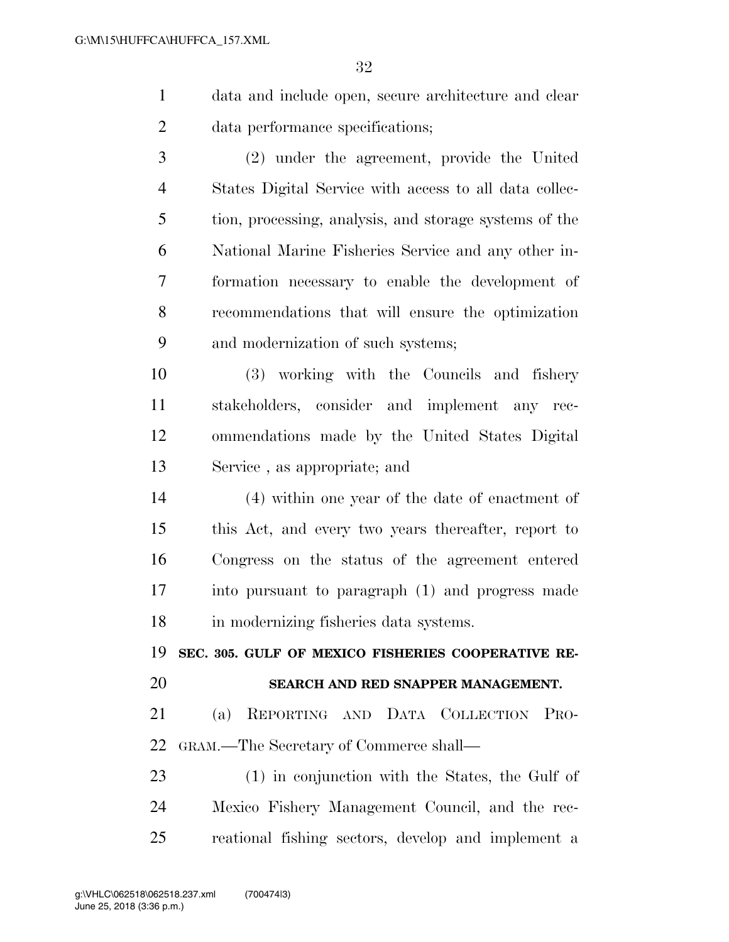data and include open, secure architecture and clear data performance specifications;

 (2) under the agreement, provide the United States Digital Service with access to all data collec- tion, processing, analysis, and storage systems of the National Marine Fisheries Service and any other in- formation necessary to enable the development of recommendations that will ensure the optimization and modernization of such systems;

 (3) working with the Councils and fishery stakeholders, consider and implement any rec- ommendations made by the United States Digital Service , as appropriate; and

 (4) within one year of the date of enactment of this Act, and every two years thereafter, report to Congress on the status of the agreement entered into pursuant to paragraph (1) and progress made in modernizing fisheries data systems.

**SEC. 305. GULF OF MEXICO FISHERIES COOPERATIVE RE-**

### **SEARCH AND RED SNAPPER MANAGEMENT.**

 (a) REPORTING AND DATA COLLECTION PRO-GRAM.—The Secretary of Commerce shall—

 (1) in conjunction with the States, the Gulf of Mexico Fishery Management Council, and the rec-reational fishing sectors, develop and implement a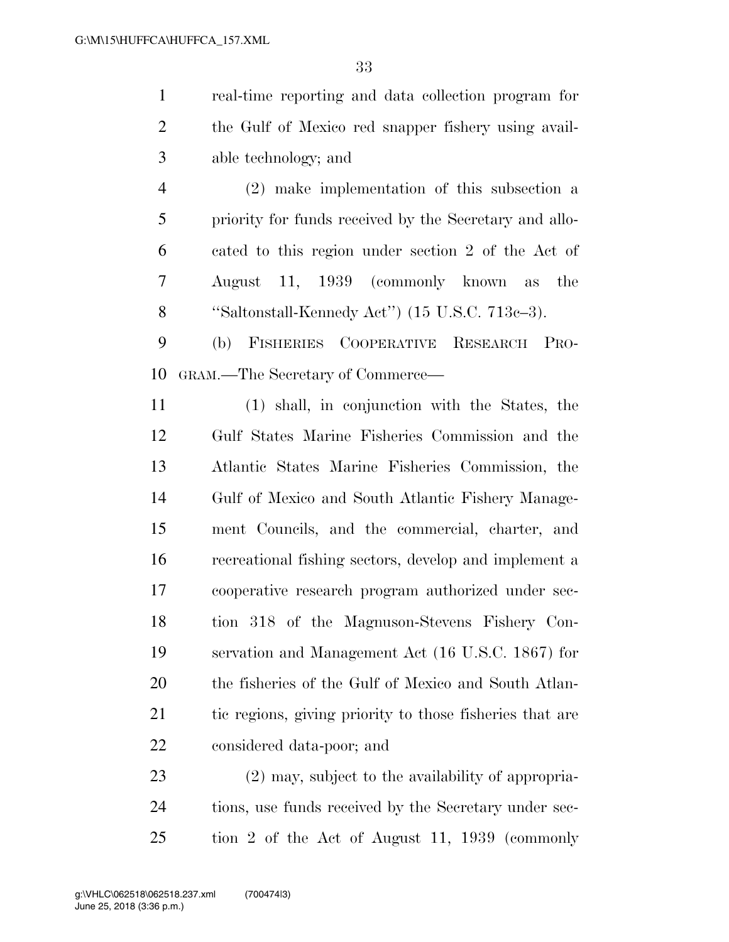real-time reporting and data collection program for the Gulf of Mexico red snapper fishery using avail-able technology; and

 (2) make implementation of this subsection a priority for funds received by the Secretary and allo- cated to this region under section 2 of the Act of August 11, 1939 (commonly known as the ''Saltonstall-Kennedy Act'') (15 U.S.C. 713c–3).

 (b) FISHERIES COOPERATIVE RESEARCH PRO-GRAM.—The Secretary of Commerce—

 (1) shall, in conjunction with the States, the Gulf States Marine Fisheries Commission and the Atlantic States Marine Fisheries Commission, the Gulf of Mexico and South Atlantic Fishery Manage- ment Councils, and the commercial, charter, and recreational fishing sectors, develop and implement a cooperative research program authorized under sec- tion 318 of the Magnuson-Stevens Fishery Con- servation and Management Act (16 U.S.C. 1867) for the fisheries of the Gulf of Mexico and South Atlan- tic regions, giving priority to those fisheries that are considered data-poor; and

 (2) may, subject to the availability of appropria-24 tions, use funds received by the Secretary under sec-tion 2 of the Act of August 11, 1939 (commonly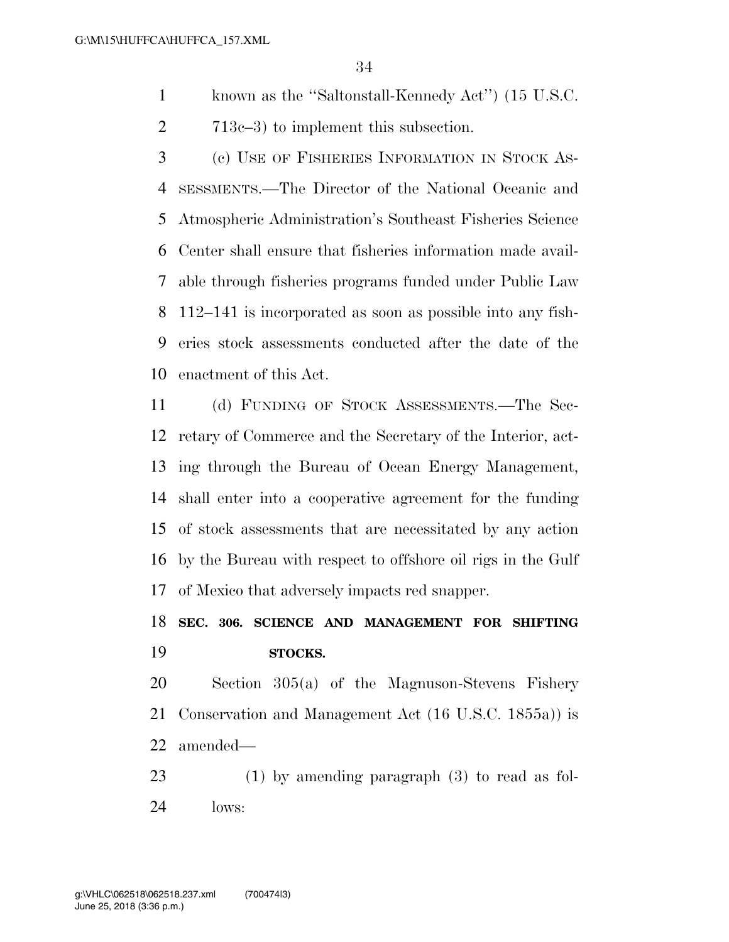- known as the ''Saltonstall-Kennedy Act'') (15 U.S.C.
- 713c–3) to implement this subsection.

 (c) USE OF FISHERIES INFORMATION IN STOCK AS- SESSMENTS.—The Director of the National Oceanic and Atmospheric Administration's Southeast Fisheries Science Center shall ensure that fisheries information made avail- able through fisheries programs funded under Public Law 112–141 is incorporated as soon as possible into any fish- eries stock assessments conducted after the date of the enactment of this Act.

 (d) FUNDING OF STOCK ASSESSMENTS.—The Sec- retary of Commerce and the Secretary of the Interior, act- ing through the Bureau of Ocean Energy Management, shall enter into a cooperative agreement for the funding of stock assessments that are necessitated by any action by the Bureau with respect to offshore oil rigs in the Gulf of Mexico that adversely impacts red snapper.

## **SEC. 306. SCIENCE AND MANAGEMENT FOR SHIFTING STOCKS.**

 Section 305(a) of the Magnuson-Stevens Fishery Conservation and Management Act (16 U.S.C. 1855a)) is amended—

 (1) by amending paragraph (3) to read as fol-lows: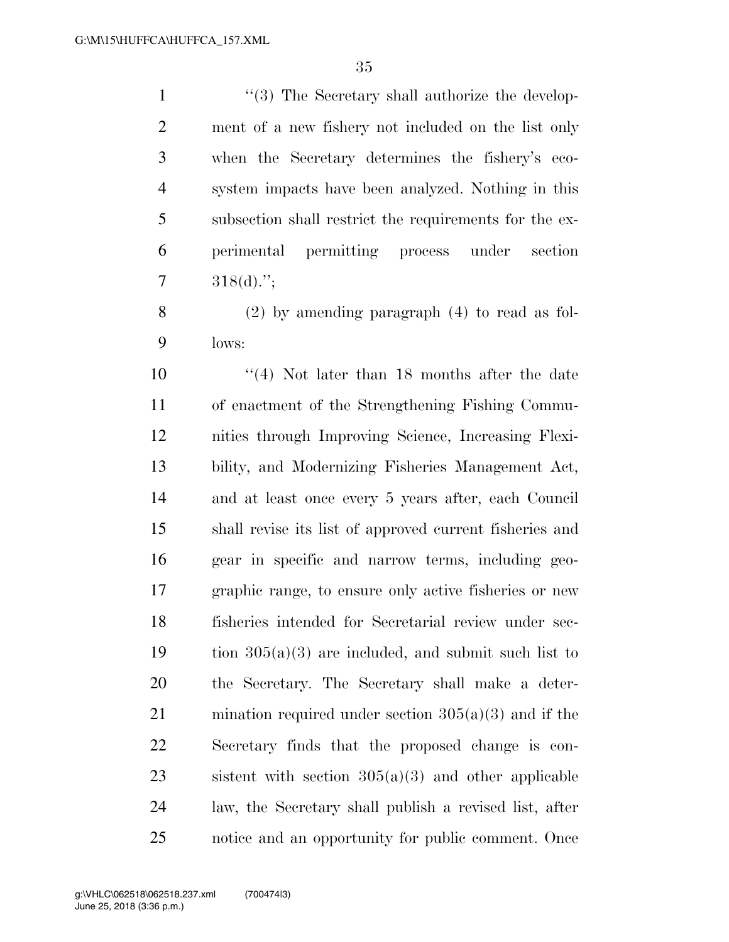1 ''(3) The Secretary shall authorize the develop- ment of a new fishery not included on the list only when the Secretary determines the fishery's eco- system impacts have been analyzed. Nothing in this subsection shall restrict the requirements for the ex- perimental permitting process under section  $7 \qquad 318(d).$ ";

 (2) by amending paragraph (4) to read as fol-lows:

 ''(4) Not later than 18 months after the date of enactment of the Strengthening Fishing Commu- nities through Improving Science, Increasing Flexi- bility, and Modernizing Fisheries Management Act, and at least once every 5 years after, each Council shall revise its list of approved current fisheries and gear in specific and narrow terms, including geo- graphic range, to ensure only active fisheries or new fisheries intended for Secretarial review under sec-19 tion  $305(a)(3)$  are included, and submit such list to the Secretary. The Secretary shall make a deter- mination required under section 305(a)(3) and if the Secretary finds that the proposed change is con-23 sistent with section  $305(a)(3)$  and other applicable law, the Secretary shall publish a revised list, after notice and an opportunity for public comment. Once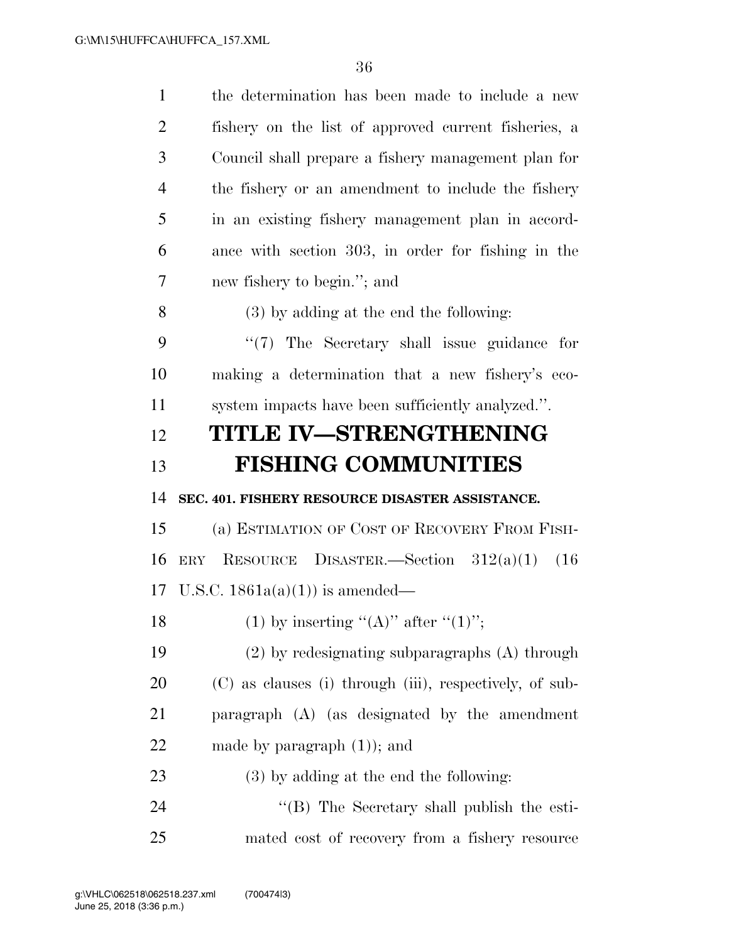| $\mathbf{1}$   | the determination has been made to include a new        |
|----------------|---------------------------------------------------------|
| $\overline{2}$ | fishery on the list of approved current fisheries, a    |
| 3              | Council shall prepare a fishery management plan for     |
| $\overline{4}$ | the fishery or an amendment to include the fishery      |
| 5              | in an existing fishery management plan in accord-       |
| 6              | ance with section 303, in order for fishing in the      |
| 7              | new fishery to begin."; and                             |
| 8              | $(3)$ by adding at the end the following:               |
| 9              | "(7) The Secretary shall issue guidance for             |
| 10             | making a determination that a new fishery's eco-        |
| 11             | system impacts have been sufficiently analyzed.".       |
| 12             | TITLE IV-STRENGTHENING                                  |
| 13             | <b>FISHING COMMUNITIES</b>                              |
|                |                                                         |
| 14             | SEC. 401. FISHERY RESOURCE DISASTER ASSISTANCE.         |
| 15             | (a) ESTIMATION OF COST OF RECOVERY FROM FISH-           |
| 16             | RESOURCE DISASTER.—Section $312(a)(1)$<br>ERY<br>(16)   |
|                | 17 U.S.C. $1861a(a)(1)$ is amended—                     |
| 18             | (1) by inserting " $(A)$ " after " $(1)$ ";             |
| 19             | $(2)$ by redesignating subparagraphs $(A)$ through      |
| 20             | (C) as clauses (i) through (iii), respectively, of sub- |
| 21             | paragraph (A) (as designated by the amendment           |
| 22             | made by paragraph $(1)$ ; and                           |
| 23             | $(3)$ by adding at the end the following:               |
| 24             | "(B) The Secretary shall publish the esti-              |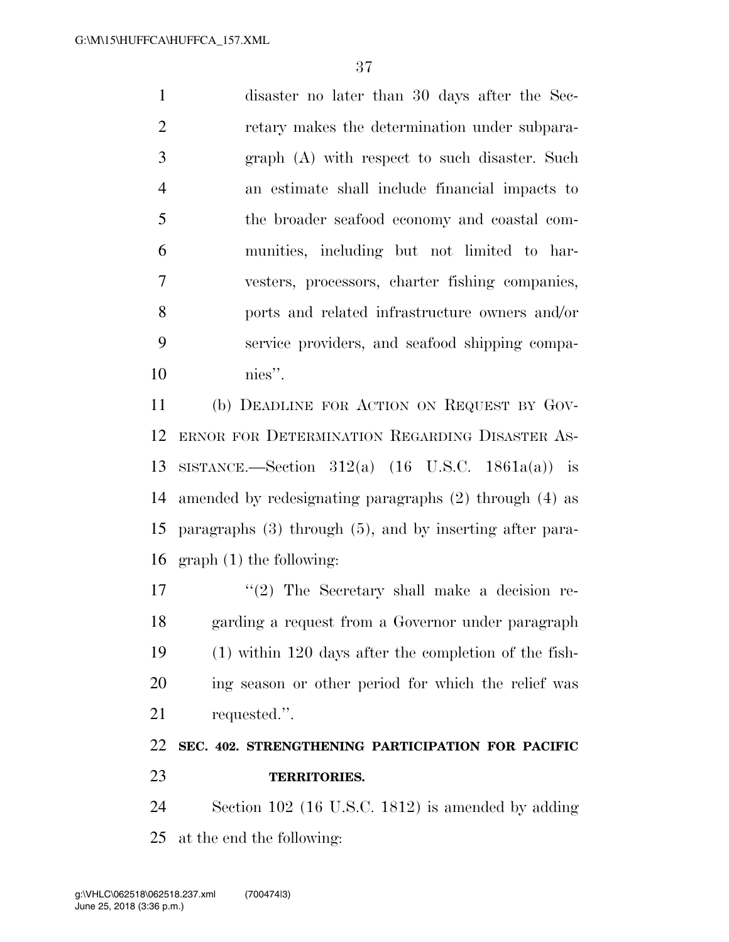disaster no later than 30 days after the Sec- retary makes the determination under subpara- graph (A) with respect to such disaster. Such an estimate shall include financial impacts to the broader seafood economy and coastal com- munities, including but not limited to har- vesters, processors, charter fishing companies, ports and related infrastructure owners and/or service providers, and seafood shipping compa-nies''.

 (b) DEADLINE FOR ACTION ON REQUEST BY GOV- ERNOR FOR DETERMINATION REGARDING DISASTER AS- SISTANCE.—Section 312(a) (16 U.S.C. 1861a(a)) is amended by redesignating paragraphs (2) through (4) as paragraphs (3) through (5), and by inserting after para-graph (1) the following:

 $\frac{17}{2}$  The Secretary shall make a decision re- garding a request from a Governor under paragraph (1) within 120 days after the completion of the fish- ing season or other period for which the relief was requested.''.

## **SEC. 402. STRENGTHENING PARTICIPATION FOR PACIFIC TERRITORIES.**

 Section 102 (16 U.S.C. 1812) is amended by adding at the end the following: